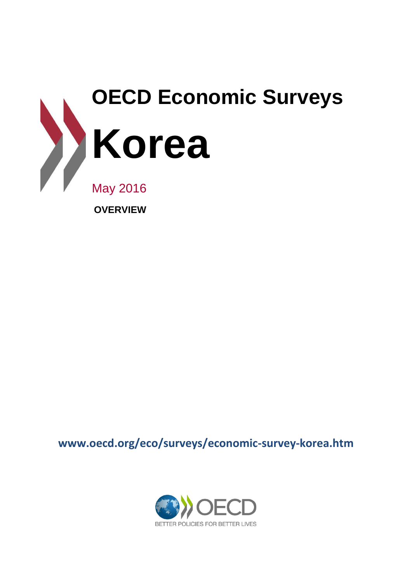

**OVERVIEW**

**www.oecd.org/eco/surveys/economic-survey-korea.htm**

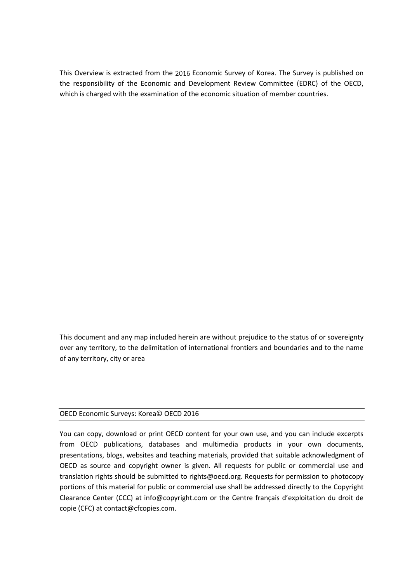This Overview is extracted from the 2016 Economic Survey of Korea. The Survey is published on the responsibility of the Economic and Development Review Committee (EDRC) of the OECD, which is charged with the examination of the economic situation of member countries.

This document and any map included herein are without prejudice to the status of or sovereignty over any territory, to the delimitation of international frontiers and boundaries and to the name of any territory, city or area

## OECD Economic Surveys: Korea© OECD 2016

You can copy, download or print OECD content for your own use, and you can include excerpts from OECD publications, databases and multimedia products in your own documents, presentations, blogs, websites and teaching materials, provided that suitable acknowledgment of OECD as source and copyright owner is given. All requests for public or commercial use and translation rights should be submitted to rights@oecd.org. Requests for permission to photocopy portions of this material for public or commercial use shall be addressed directly to the Copyright Clearance Center (CCC) at info@copyright.com or the Centre français d'exploitation du droit de copie (CFC) at contact@cfcopies.com.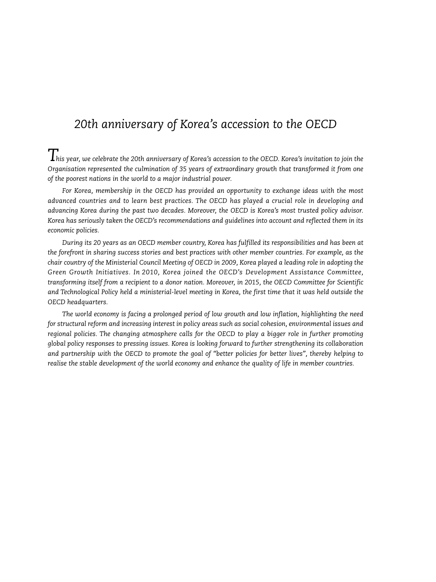## *20th anniversary of Korea's accession to the OECD*

*This year, we celebrate the 20th anniversary of Korea's accession to the OECD. Korea's invitation to join the Organisation represented the culmination of 35 years of extraordinary growth that transformed it from one of the poorest nations in the world to a major industrial power.*

*For Korea, membership in the OECD has provided an opportunity to exchange ideas with the most advanced countries and to learn best practices. The OECD has played a crucial role in developing and advancing Korea during the past two decades. Moreover, the OECD is Korea's most trusted policy advisor. Korea has seriously taken the OECD's recommendations and guidelines into account and reflected them in its economic policies.*

*During its 20 years as an OECD member country, Korea has fulfilled its responsibilities and has been at the forefront in sharing success stories and best practices with other member countries. For example, as the chair country of the Ministerial Council Meeting of OECD in 2009, Korea played a leading role in adopting the Green Growth Initiatives. In 2010, Korea joined the OECD's Development Assistance Committee, transforming itself from a recipient to a donor nation. Moreover, in 2015, the OECD Committee for Scientific and Technological Policy held a ministerial-level meeting in Korea, the first time that it was held outside the OECD headquarters.*

*The world economy is facing a prolonged period of low growth and low inflation, highlighting the need for structural reform and increasing interest in policy areas such as social cohesion, environmental issues and regional policies. The changing atmosphere calls for the OECD to play a bigger role in further promoting global policy responses to pressing issues. Korea is looking forward to further strengthening its collaboration and partnership with the OECD to promote the goal of "better policies for better lives", thereby helping to realise the stable development of the world economy and enhance the quality of life in member countries.*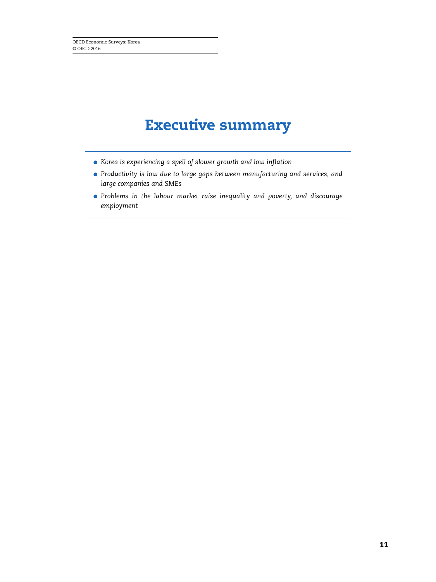# **Executive summary**

- *Korea is experiencing a spell of slower growth and low inflation*
- *Productivity is low due to large gaps between manufacturing and services, and large companies and SMEs*
- *Problems in the labour market raise inequality and poverty, and discourage employment*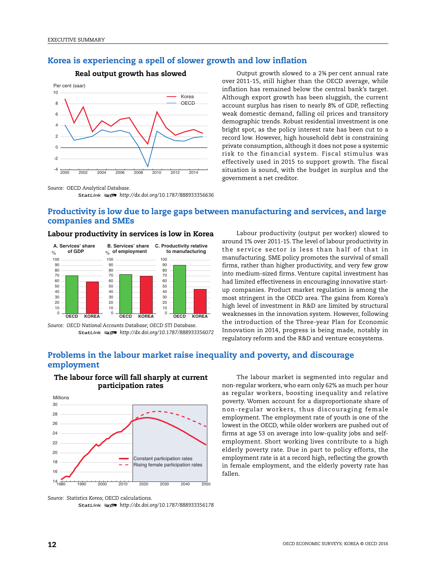## **Korea is experiencing a spell of slower growth and low inflation**

## **Real output growth has slowed**



Output growth slowed to a 2¾ per cent annual rate over 2011-15, still higher than the OECD average, while inflation has remained below the central bank's target. Although export growth has been sluggish, the current account surplus has risen to nearly 8% of GDP, reflecting weak domestic demand, falling oil prices and transitory demographic trends. Robust residential investment is one bright spot, as the policy interest rate has been cut to a record low. However, high household debt is constraining private consumption, although it does not pose a systemic risk to the financial system. Fiscal stimulus was effectively used in 2015 to support growth. The fiscal situation is sound, with the budget in surplus and the government a net creditor.

*Source:* OECD *Analytical Database*.

1 2 *<http://dx.doi.org/10.1787/888933356636>*

## **Productivity is low due to large gaps between manufacturing and services, and large companies and SMEs**

#### **Labour productivity in services is low in Korea**



*Source: OECD National Accounts Database* ; *OECD STI Database*. 1 2 *http://dx.doi.org/10.1787/888933356072*

Labour productivity (output per worker) slowed to around 1% over 2011-15. The level of labour productivity in the service sector is less than half of that in manufacturing. SME policy promotes the survival of small firms, rather than higher productivity, and very few grow into medium-sized firms. Venture capital investment has had limited effectiveness in encouraging innovative startup companies. Product market regulation is among the most stringent in the OECD area. The gains from Korea's high level of investment in R&D are limited by structural weaknesses in the innovation system. However, following the introduction of the Three-year Plan for Economic Innovation in 2014, progress is being made, notably in regulatory reform and the R&D and venture ecosystems.

## **Problems in the labour market raise inequality and poverty, and discourage employment**



**The labour force will fall sharply at current participation rates**

The labour market is segmented into regular and non-regular workers, who earn only 62% as much per hour as regular workers, boosting inequality and relative poverty. Women account for a disproportionate share of non-regular workers, thus discouraging female employment. The employment rate of youth is one of the lowest in the OECD, while older workers are pushed out of firms at age 53 on average into low-quality jobs and selfemployment. Short working lives contribute to a high elderly poverty rate. Due in part to policy efforts, the employment rate is at a record high, reflecting the growth in female employment, and the elderly poverty rate has fallen.

*Source: Statistics Korea* ; OECD calculations. 1 2 *http://dx.doi.org/10.1787/888933356178*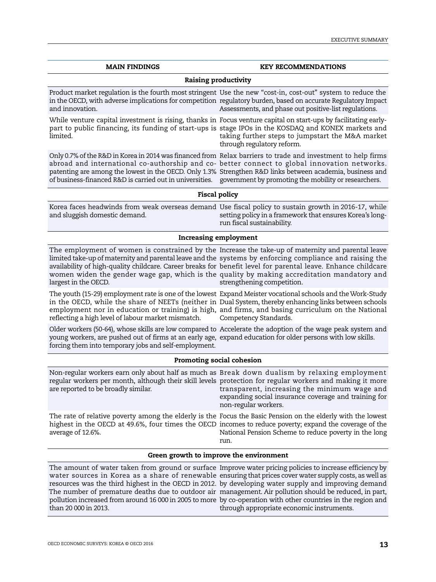| <b>MAIN FINDINGS</b>                                                                                                                                                 | <b>KEY RECOMMENDATIONS</b>                                                                                                                                                                                                                                                                                                                                                                                                                                  |  |  |  |  |  |
|----------------------------------------------------------------------------------------------------------------------------------------------------------------------|-------------------------------------------------------------------------------------------------------------------------------------------------------------------------------------------------------------------------------------------------------------------------------------------------------------------------------------------------------------------------------------------------------------------------------------------------------------|--|--|--|--|--|
|                                                                                                                                                                      | <b>Raising productivity</b>                                                                                                                                                                                                                                                                                                                                                                                                                                 |  |  |  |  |  |
| and innovation.                                                                                                                                                      | Product market regulation is the fourth most stringent Use the new "cost-in, cost-out" system to reduce the<br>in the OECD, with adverse implications for competition regulatory burden, based on accurate Regulatory Impact<br>Assessments, and phase out positive-list regulations.                                                                                                                                                                       |  |  |  |  |  |
| limited.                                                                                                                                                             | While venture capital investment is rising, thanks in Focus venture capital on start-ups by facilitating early-<br>part to public financing, its funding of start-ups is stage IPOs in the KOSDAQ and KONEX markets and<br>taking further steps to jumpstart the M&A market<br>through regulatory reform.                                                                                                                                                   |  |  |  |  |  |
| of business-financed R&D is carried out in universities. government by promoting the mobility or researchers.                                                        | Only 0.7% of the R&D in Korea in 2014 was financed from Relax barriers to trade and investment to help firms<br>abroad and international co-authorship and co- better connect to global innovation networks.<br>patenting are among the lowest in the OECD. Only 1.3% Strengthen R&D links between academia, business and                                                                                                                                   |  |  |  |  |  |
|                                                                                                                                                                      | <b>Fiscal policy</b>                                                                                                                                                                                                                                                                                                                                                                                                                                        |  |  |  |  |  |
| and sluggish domestic demand.                                                                                                                                        | Korea faces headwinds from weak overseas demand Use fiscal policy to sustain growth in 2016-17, while<br>setting policy in a framework that ensures Korea's long-<br>run fiscal sustainability.                                                                                                                                                                                                                                                             |  |  |  |  |  |
|                                                                                                                                                                      | <b>Increasing employment</b>                                                                                                                                                                                                                                                                                                                                                                                                                                |  |  |  |  |  |
| largest in the OECD.                                                                                                                                                 | The employment of women is constrained by the Increase the take-up of maternity and parental leave<br>limited take-up of maternity and parental leave and the systems by enforcing compliance and raising the<br>availability of high-quality childcare. Career breaks for benefit level for parental leave. Enhance childcare<br>women widen the gender wage gap, which is the quality by making accreditation mandatory and<br>strengthening competition. |  |  |  |  |  |
| reflecting a high level of labour market mismatch.                                                                                                                   | The youth (15-29) employment rate is one of the lowest Expand Meister vocational schools and the Work-Study<br>in the OECD, while the share of NEETs (neither in Dual System, thereby enhancing links between schools<br>employment nor in education or training) is high, and firms, and basing curriculum on the National<br>Competency Standards.                                                                                                        |  |  |  |  |  |
| young workers, are pushed out of firms at an early age, expand education for older persons with low skills.<br>forcing them into temporary jobs and self-employment. | Older workers (50-64), whose skills are low compared to Accelerate the adoption of the wage peak system and                                                                                                                                                                                                                                                                                                                                                 |  |  |  |  |  |
|                                                                                                                                                                      | Promoting social cohesion                                                                                                                                                                                                                                                                                                                                                                                                                                   |  |  |  |  |  |
| are reported to be broadly similar.                                                                                                                                  | Non-regular workers earn only about half as much as Break down dualism by relaxing employment<br>regular workers per month, although their skill levels protection for regular workers and making it more<br>transparent, increasing the minimum wage and<br>expanding social insurance coverage and training for<br>non-regular workers.                                                                                                                   |  |  |  |  |  |
| average of 12.6%.                                                                                                                                                    | The rate of relative poverty among the elderly is the Focus the Basic Pension on the elderly with the lowest<br>highest in the OECD at 49.6%, four times the OECD incomes to reduce poverty; expand the coverage of the<br>National Pension Scheme to reduce poverty in the long<br>run.                                                                                                                                                                    |  |  |  |  |  |
| Green growth to improve the environment                                                                                                                              |                                                                                                                                                                                                                                                                                                                                                                                                                                                             |  |  |  |  |  |
|                                                                                                                                                                      | The amount of water taken from ground or surface Improve water pricing policies to increase efficiency by<br>water sources in Korea as a share of renewable ensuring that prices cover water supply costs, as well as<br>resources was the third highest in the OECD in 2012. by developing water supply and improving demand<br>The number of premature deaths due to outdoor air management. Air pollution should be reduced, in part,                    |  |  |  |  |  |

than 20 000 in 2013.

pollution increased from around 16 000 in 2005 to more

by co-operation with other countries in the region and

through appropriate economic instruments.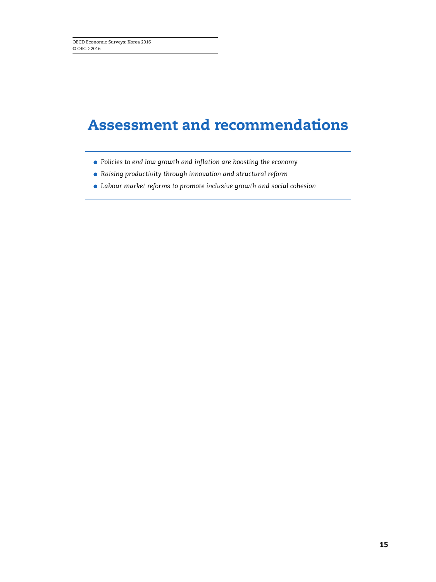# **Assessment and recommendations**

- *Policies to end low growth and inflation are boosting the economy*
- *Raising productivity through innovation and structural reform*
- *Labour market reforms to promote inclusive growth and social cohesion*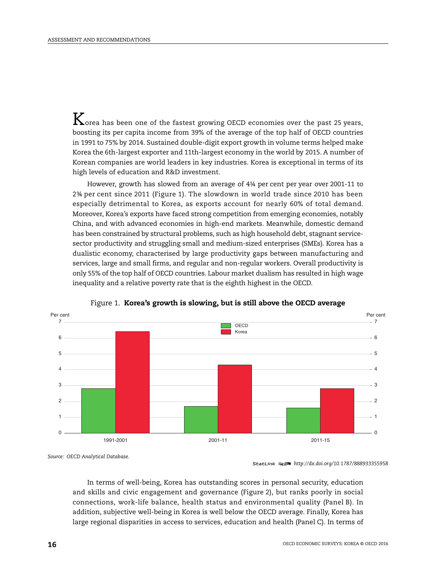${\rm K}$ orea has been one of the fastest growing OECD economies over the past 25 years, boosting its per capita income from 39% of the average of the top half of OECD countries in 1991 to 75% by 2014. Sustained double-digit export growth in volume terms helped make Korea the 6th-largest exporter and 11th-largest economy in the world by 2015. A number of Korean companies are world leaders in key industries. Korea is exceptional in terms of its high levels of education and R&D investment.

However, growth has slowed from an average of 4¼ per cent per year over 2001-11 to 2¾ per cent since 2011 (Figure 1). The slowdown in world trade since 2010 has been especially detrimental to Korea, as exports account for nearly 60% of total demand. Moreover, Korea's exports have faced strong competition from emerging economies, notably China, and with advanced economies in high-end markets. Meanwhile, domestic demand has been constrained by structural problems, such as high household debt, stagnant servicesector productivity and struggling small and medium-sized enterprises (SMEs). Korea has a dualistic economy, characterised by large productivity gaps between manufacturing and services, large and small firms, and regular and non-regular workers. Overall productivity is only 55% of the top half of OECD countries. Labour market dualism has resulted in high wage inequality and a relative poverty rate that is the eighth highest in the OECD.





*Source: OECD Analytical Database*.

In terms of well-being, Korea has outstanding scores in personal security, education and skills and civic engagement and governance (Figure 2), but ranks poorly in social connections, work-life balance, health status and environmental quality (Panel B). In addition, subjective well-being in Korea is well below the OECD average. Finally, Korea has large regional disparities in access to services, education and health (Panel C). In terms of

<sup>1 2</sup> *<http://dx.doi.org/10.1787/888933355958>*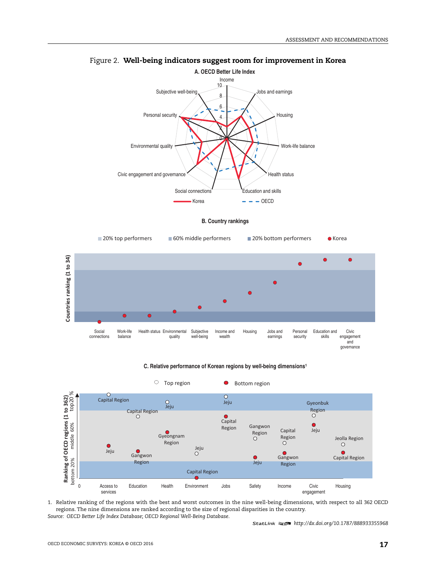

## Figure 2. **Well-being indicators suggest room for improvement in Korea**





#### **C. Relative performance of Korean regions by well-being dimensions<sup>1</sup>**



1. Relative ranking of the regions with the best and worst outcomes in the nine well-being dimensions, with respect to all 362 OECD regions. The nine dimensions are ranked according to the size of regional disparities in the country. *Source: OECD Better Life Index Database*; *OECD Regional Well-Being Database*.

1 2 *<http://dx.doi.org/10.1787/888933355968>*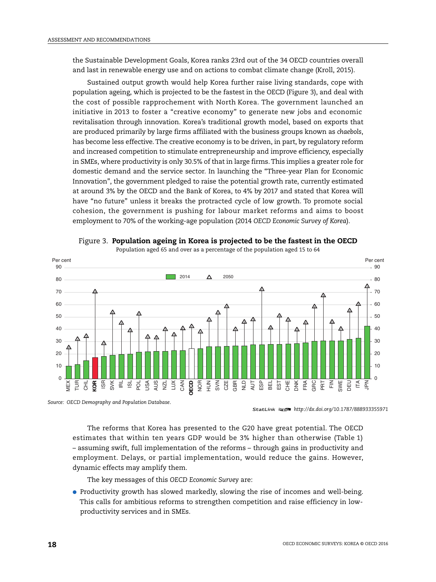the Sustainable Development Goals, Korea ranks 23rd out of the 34 OECD countries overall and last in renewable energy use and on actions to combat climate change (Kroll, 2015).

Sustained output growth would help Korea further raise living standards, cope with population ageing, which is projected to be the fastest in the OECD (Figure 3), and deal with the cost of possible rapprochement with North Korea. The government launched an initiative in 2013 to foster a "creative economy" to generate new jobs and economic revitalisation through innovation. Korea's traditional growth model, based on exports that are produced primarily by large firms affiliated with the business groups known as *chaebols*, has become less effective. The creative economy is to be driven, in part, by regulatory reform and increased competition to stimulate entrepreneurship and improve efficiency, especially in SMEs, where productivity is only 30.5% of that in large firms. This implies a greater role for domestic demand and the service sector. In launching the "Three-year Plan for Economic Innovation", the government pledged to raise the potential growth rate, currently estimated at around 3% by the OECD and the Bank of Korea, to 4% by 2017 and stated that Korea will have "no future" unless it breaks the protracted cycle of low growth. To promote social cohesion, the government is pushing for labour market reforms and aims to boost employment to 70% of the working-age population (2014 *OECD Economic Survey of Korea*).



Figure 3. **Population ageing in Korea is projected to be the fastest in the OECD**

Population aged 65 and over as a percentage of the population aged 15 to 64

*Source: OECD Demography and Population Database*.

1 2 *<http://dx.doi.org/10.1787/888933355971>*

The reforms that Korea has presented to the G20 have great potential. The OECD estimates that within ten years GDP would be 3% higher than otherwise (Table 1) – assuming swift, full implementation of the reforms – through gains in productivity and employment. Delays, or partial implementation, would reduce the gains. However, dynamic effects may amplify them.

The key messages of this *OECD Economic Survey* are:

● Productivity growth has slowed markedly, slowing the rise of incomes and well-being. This calls for ambitious reforms to strengthen competition and raise efficiency in lowproductivity services and in SMEs.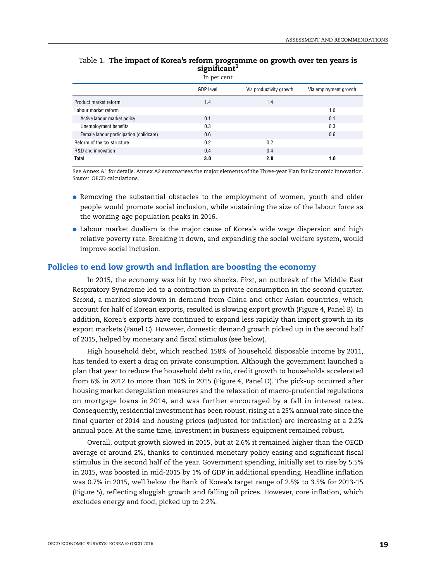| In per cent                             |                  |                         |                       |  |  |  |  |
|-----------------------------------------|------------------|-------------------------|-----------------------|--|--|--|--|
|                                         | <b>GDP</b> level | Via productivity growth | Via employment growth |  |  |  |  |
| Product market reform                   | 1.4              | 1.4                     |                       |  |  |  |  |
| Labour market reform                    |                  |                         | 1.0                   |  |  |  |  |
| Active labour market policy             | 0.1              |                         | 0.1                   |  |  |  |  |
| Unemployment benefits                   | 0.3              |                         | 0.3                   |  |  |  |  |
| Female labour participation (childcare) | 0.6              |                         | 0.6                   |  |  |  |  |
| Reform of the tax structure             | 0.2              | 0.2                     |                       |  |  |  |  |
| R&D and innovation                      | 0.4              | 0.4                     |                       |  |  |  |  |
| Total                                   | 3.0              | 2.0                     | 1.0                   |  |  |  |  |

## Table 1. **The impact of Korea's reform programme on growth over ten years is significant1**

See Annex A1 for details. Annex A2 summarises the major elements of the Three-year Plan for Economic Innovation. *Source:* OECD calculations.

- Removing the substantial obstacles to the employment of women, youth and older people would promote social inclusion, while sustaining the size of the labour force as the working-age population peaks in 2016.
- Labour market dualism is the major cause of Korea's wide wage dispersion and high relative poverty rate. Breaking it down, and expanding the social welfare system, would improve social inclusion.

## **Policies to end low growth and inflation are boosting the economy**

In 2015, the economy was hit by two shocks. *First*, an outbreak of the Middle East Respiratory Syndrome led to a contraction in private consumption in the second quarter. *Second*, a marked slowdown in demand from China and other Asian countries, which account for half of Korean exports, resulted is slowing export growth (Figure 4, Panel B). In addition, Korea's exports have continued to expand less rapidly than import growth in its export markets (Panel C). However, domestic demand growth picked up in the second half of 2015, helped by monetary and fiscal stimulus (see below).

High household debt, which reached 158% of household disposable income by 2011, has tended to exert a drag on private consumption. Although the government launched a plan that year to reduce the household debt ratio, credit growth to households accelerated from 6% in 2012 to more than 10% in 2015 (Figure 4, Panel D). The pick-up occurred after housing market deregulation measures and the relaxation of macro-prudential regulations on mortgage loans in 2014, and was further encouraged by a fall in interest rates. Consequently, residential investment has been robust, rising at a 25% annual rate since the final quarter of 2014 and housing prices (adjusted for inflation) are increasing at a 2.2% annual pace. At the same time, investment in business equipment remained robust.

Overall, output growth slowed in 2015, but at 2.6% it remained higher than the OECD average of around 2%, thanks to continued monetary policy easing and significant fiscal stimulus in the second half of the year. Government spending, initially set to rise by 5.5% in 2015, was boosted in mid-2015 by 1% of GDP in additional spending. Headline inflation was 0.7% in 2015, well below the Bank of Korea's target range of 2.5% to 3.5% for 2013-15 (Figure 5), reflecting sluggish growth and falling oil prices. However, core inflation, which excludes energy and food, picked up to 2.2%.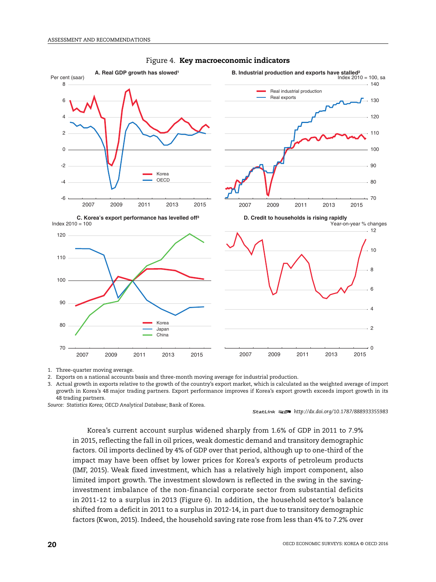

#### Figure 4. **Key macroeconomic indicators**

1. Three-quarter moving average.

3. Actual growth in exports relative to the growth of the country's export market, which is calculated as the weighted average of import growth in Korea's 48 major trading partners. Export performance improves if Korea's export growth exceeds import growth in its 48 trading partners.

*Source: Statistics Korea*; *OECD Analytical Database*; Bank of Korea.

1 2 *<http://dx.doi.org/10.1787/888933355983>*

Korea's current account surplus widened sharply from 1.6% of GDP in 2011 to 7.9% in 2015, reflecting the fall in oil prices, weak domestic demand and transitory demographic factors. Oil imports declined by 4% of GDP over that period, although up to one-third of the impact may have been offset by lower prices for Korea's exports of petroleum products (IMF, 2015). Weak fixed investment, which has a relatively high import component, also limited import growth. The investment slowdown is reflected in the swing in the savinginvestment imbalance of the non-financial corporate sector from substantial deficits in 2011-12 to a surplus in 2013 (Figure 6). In addition, the household sector's balance shifted from a deficit in 2011 to a surplus in 2012-14, in part due to transitory demographic factors (Kwon, 2015). Indeed, the household saving rate rose from less than 4% to 7.2% over

<sup>2.</sup> Exports on a national accounts basis and three-month moving average for industrial production.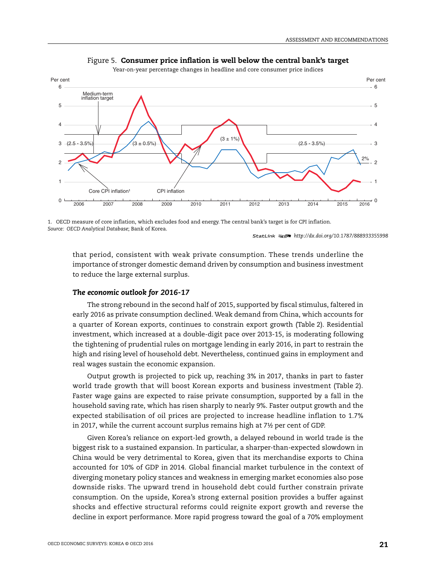

## Figure 5. **Consumer price inflation is well below the central bank's target**

Year-on-year percentage changes in headline and core consumer price indices

1. OECD measure of core inflation, which excludes food and energy. The central bank's target is for CPI inflation. *Source: OECD Analytical Database*; Bank of Korea.

1 2 *<http://dx.doi.org/10.1787/888933355998>*

that period, consistent with weak private consumption. These trends underline the importance of stronger domestic demand driven by consumption and business investment to reduce the large external surplus.

## *The economic outlook for 2016-17*

The strong rebound in the second half of 2015, supported by fiscal stimulus, faltered in early 2016 as private consumption declined.Weak demand from China, which accounts for a quarter of Korean exports, continues to constrain export growth (Table 2). Residential investment, which increased at a double-digit pace over 2013-15, is moderating following the tightening of prudential rules on mortgage lending in early 2016, in part to restrain the high and rising level of household debt. Nevertheless, continued gains in employment and real wages sustain the economic expansion.

Output growth is projected to pick up, reaching 3% in 2017, thanks in part to faster world trade growth that will boost Korean exports and business investment (Table 2). Faster wage gains are expected to raise private consumption, supported by a fall in the household saving rate, which has risen sharply to nearly 9%. Faster output growth and the expected stabilisation of oil prices are projected to increase headline inflation to 1.7% in 2017, while the current account surplus remains high at 7½ per cent of GDP.

Given Korea's reliance on export-led growth, a delayed rebound in world trade is the biggest risk to a sustained expansion. In particular, a sharper-than-expected slowdown in China would be very detrimental to Korea, given that its merchandise exports to China accounted for 10% of GDP in 2014. Global financial market turbulence in the context of diverging monetary policy stances and weakness in emerging market economies also pose downside risks. The upward trend in household debt could further constrain private consumption. On the upside, Korea's strong external position provides a buffer against shocks and effective structural reforms could reignite export growth and reverse the decline in export performance. More rapid progress toward the goal of a 70% employment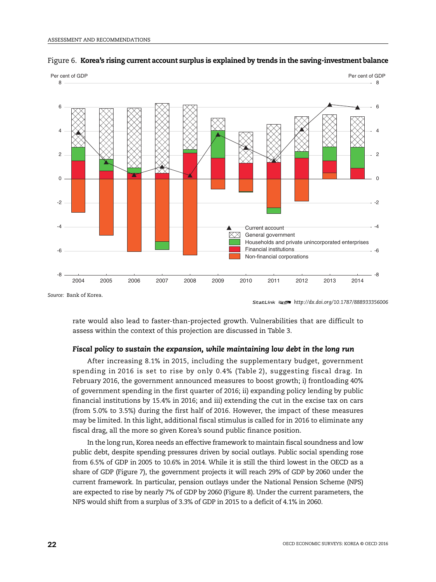

## Figure 6. **Korea's rising current account surplus is explained by trends in the saving-investment balance**

*Source:* Bank of Korea.

1 2 *<http://dx.doi.org/10.1787/888933356006>*

rate would also lead to faster-than-projected growth. Vulnerabilities that are difficult to assess within the context of this projection are discussed in Table 3.

## *Fiscal policy to sustain the expansion, while maintaining low debt in the long run*

After increasing 8.1% in 2015, including the supplementary budget, government spending in 2016 is set to rise by only 0.4% (Table 2), suggesting fiscal drag. In February 2016, the government announced measures to boost growth; i) frontloading 40% of government spending in the first quarter of 2016; ii) expanding policy lending by public financial institutions by 15.4% in 2016; and iii) extending the cut in the excise tax on cars (from 5.0% to 3.5%) during the first half of 2016. However, the impact of these measures may be limited. In this light, additional fiscal stimulus is called for in 2016 to eliminate any fiscal drag, all the more so given Korea's sound public finance position.

In the long run, Korea needs an effective framework to maintain fiscal soundness and low public debt, despite spending pressures driven by social outlays. Public social spending rose from 6.5% of GDP in 2005 to 10.6% in 2014. While it is still the third lowest in the OECD as a share of GDP (Figure 7), the government projects it will reach 29% of GDP by 2060 under the current framework. In particular, pension outlays under the National Pension Scheme (NPS) are expected to rise by nearly 7% of GDP by 2060 (Figure 8). Under the current parameters, the NPS would shift from a surplus of 3.3% of GDP in 2015 to a deficit of 4.1% in 2060.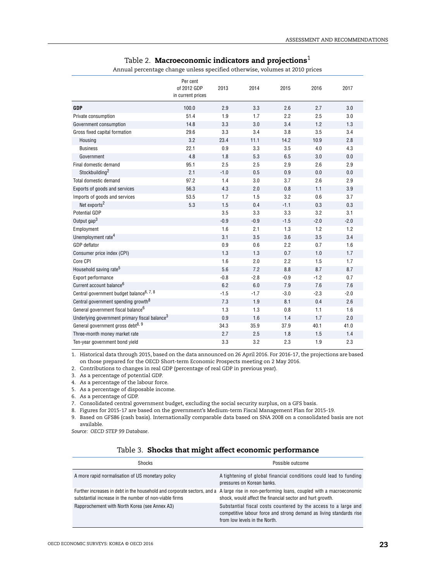|                                                           | Per cent<br>of 2012 GDP<br>in current prices | 2013   | 2014   | 2015   | 2016   | 2017   |
|-----------------------------------------------------------|----------------------------------------------|--------|--------|--------|--------|--------|
| GDP                                                       | 100.0                                        | 2.9    | 3.3    | 2.6    | 2.7    | 3.0    |
| Private consumption                                       | 51.4                                         | 1.9    | 1.7    | 2.2    | 2.5    | 3.0    |
| Government consumption                                    | 14.8                                         | 3.3    | 3.0    | 3.4    | 1.2    | 1.3    |
| Gross fixed capital formation                             | 29.6                                         | 3.3    | 3.4    | 3.8    | 3.5    | 3.4    |
| Housing                                                   | 3.2                                          | 23.4   | 11.1   | 14.2   | 10.9   | 2.8    |
| <b>Business</b>                                           | 22.1                                         | 0.9    | 3.3    | 3.5    | 4.0    | 4.3    |
| Government                                                | 4.8                                          | 1.8    | 5.3    | 6.5    | 3.0    | 0.0    |
| Final domestic demand                                     | 95.1                                         | 2.5    | 2.5    | 2.9    | 2.6    | 2.9    |
| Stockbuilding <sup>2</sup>                                | 2.1                                          | $-1.0$ | 0.5    | 0.9    | 0.0    | 0.0    |
| Total domestic demand                                     | 97.2                                         | 1.4    | 3.0    | 3.7    | 2.6    | 2.9    |
| Exports of goods and services                             | 56.3                                         | 4.3    | 2.0    | 0.8    | 1.1    | 3.9    |
| Imports of goods and services                             | 53.5                                         | 1.7    | 1.5    | 3.2    | 0.6    | 3.7    |
| Net exports <sup>2</sup>                                  | 5.3                                          | 1.5    | 0.4    | $-1.1$ | 0.3    | 0.3    |
| Potential GDP                                             |                                              | 3.5    | 3.3    | 3.3    | 3.2    | 3.1    |
| Output gap <sup>3</sup>                                   |                                              | $-0.9$ | $-0.9$ | $-1.5$ | $-2.0$ | $-2.0$ |
| Employment                                                |                                              | 1.6    | 2.1    | 1.3    | 1.2    | 1.2    |
| Unemployment rate <sup>4</sup>                            |                                              | 3.1    | 3.5    | 3.6    | 3.5    | 3.4    |
| <b>GDP</b> deflator                                       |                                              | 0.9    | 0.6    | 2.2    | 0.7    | 1.6    |
| Consumer price index (CPI)                                |                                              | 1.3    | 1.3    | 0.7    | 1.0    | 1.7    |
| Core CPI                                                  |                                              | 1.6    | 2.0    | 2.2    | 1.5    | 1.7    |
| Household saving rate <sup>5</sup>                        |                                              | 5.6    | 7.2    | 8.8    | 8.7    | 8.7    |
| Export performance                                        |                                              | $-0.8$ | $-2.8$ | $-0.9$ | $-1.2$ | 0.7    |
| Current account balance <sup>6</sup>                      |                                              | 6.2    | 6.0    | 7.9    | 7.6    | 7.6    |
| Central government budget balance <sup>6, 7, 8</sup>      |                                              | $-1.5$ | $-1.7$ | $-3.0$ | $-2.3$ | $-2.0$ |
| Central government spending growth <sup>8</sup>           |                                              | 7.3    | 1.9    | 8.1    | 0.4    | 2.6    |
| General government fiscal balance <sup>6</sup>            |                                              | 1.3    | 1.3    | 0.8    | 1.1    | 1.6    |
| Underlying government primary fiscal balance <sup>3</sup> |                                              | 0.9    | 1.6    | 1.4    | 1.7    | 2.0    |
| General government gross debt <sup>8, 9</sup>             |                                              | 34.3   | 35.9   | 37.9   | 40.1   | 41.0   |
| Three-month money market rate                             |                                              | 2.7    | 2.5    | 1.8    | 1.5    | 1.4    |
| Ten-year government bond yield                            |                                              | 3.3    | 3.2    | 2.3    | 1.9    | 2.3    |

## Table 2. **Macroeconomic indicators and projections**<sup>1</sup>

Annual percentage change unless specified otherwise, volumes at 2010 prices

1. Historical data through 2015, based on the data announced on 26 April 2016. For 2016-17, the projections are based on those prepared for the OECD Short-term Economic Prospects meeting on 2 May 2016.

2. Contributions to changes in real GDP (percentage of real GDP in previous year).

3. As a percentage of potential GDP.

4. As a percentage of the labour force.

5. As a percentage of disposable income.

6. As a percentage of GDP.

7. Consolidated central government budget, excluding the social security surplus, on a GFS basis.

8. Figures for 2015-17 are based on the government's Medium-term Fiscal Management Plan for 2015-19.

9. Based on GFS86 (cash basis). Internationally comparable data based on SNA 2008 on a consolidated basis are not available.

*Source: OECD STEP 99 Database*.

|  |  |  |  |  |  |  |  |  | Table 3. <b>Shocks that might affect economic performance</b> |
|--|--|--|--|--|--|--|--|--|---------------------------------------------------------------|
|--|--|--|--|--|--|--|--|--|---------------------------------------------------------------|

| <b>Shocks</b>                                          | Possible outcome                                                                                                                                                                                        |  |  |  |
|--------------------------------------------------------|---------------------------------------------------------------------------------------------------------------------------------------------------------------------------------------------------------|--|--|--|
| A more rapid normalisation of US monetary policy       | A tightening of global financial conditions could lead to funding<br>pressures on Korean banks.                                                                                                         |  |  |  |
| substantial increase in the number of non-viable firms | Further increases in debt in the household and corporate sectors, and a A large rise in non-performing loans, coupled with a macroeconomic<br>shock, would affect the financial sector and hurt growth. |  |  |  |
| Rapprochement with North Korea (see Annex A3)          | Substantial fiscal costs countered by the access to a large and<br>competitive labour force and strong demand as living standards rise<br>from low levels in the North.                                 |  |  |  |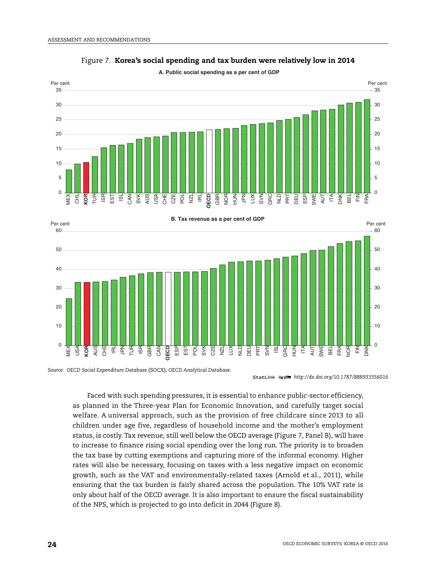



**A. Public social spending as a per cent of GDP**



*Source: OECD Social Expenditure Database* (SOCX); *OECD Analytical Database*.

Faced with such spending pressures, it is essential to enhance public-sector efficiency, as planned in the Three-year Plan for Economic Innovation, and carefully target social welfare. A universal approach, such as the provision of free childcare since 2013 to all children under age five, regardless of household income and the mother's employment status, is costly. Tax revenue, still well below the OECD average (Figure 7, Panel B), will have to increase to finance rising social spending over the long run. The priority is to broaden the tax base by cutting exemptions and capturing more of the informal economy. Higher rates will also be necessary, focusing on taxes with a less negative impact on economic growth, such as the VAT and environmentally-related taxes (Arnold et al., 2011), while ensuring that the tax burden is fairly shared across the population. The 10% VAT rate is only about half of the OECD average. It is also important to ensure the fiscal sustainability of the NPS, which is projected to go into deficit in 2044 (Figure 8).

<sup>1 2</sup> *<http://dx.doi.org/10.1787/888933356016>*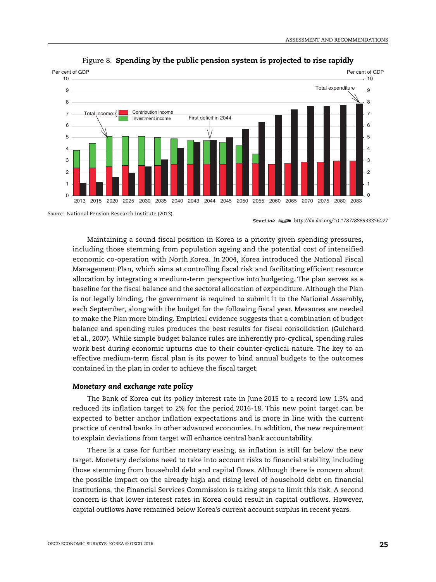



*Source:* National Pension Research Institute (2013).

Maintaining a sound fiscal position in Korea is a priority given spending pressures, including those stemming from population ageing and the potential cost of intensified economic co-operation with North Korea. In 2004, Korea introduced the National Fiscal Management Plan, which aims at controlling fiscal risk and facilitating efficient resource allocation by integrating a medium-term perspective into budgeting. The plan serves as a baseline for the fiscal balance and the sectoral allocation of expenditure. Although the Plan is not legally binding, the government is required to submit it to the National Assembly, each September, along with the budget for the following fiscal year. Measures are needed to make the Plan more binding. Empirical evidence suggests that a combination of budget balance and spending rules produces the best results for fiscal consolidation (Guichard et al., 2007). While simple budget balance rules are inherently pro-cyclical, spending rules work best during economic upturns due to their counter-cyclical nature. The key to an effective medium-term fiscal plan is its power to bind annual budgets to the outcomes contained in the plan in order to achieve the fiscal target.

## *Monetary and exchange rate policy*

The Bank of Korea cut its policy interest rate in June 2015 to a record low 1.5% and reduced its inflation target to 2% for the period 2016-18. This new point target can be expected to better anchor inflation expectations and is more in line with the current practice of central banks in other advanced economies. In addition, the new requirement to explain deviations from target will enhance central bank accountability.

There is a case for further monetary easing, as inflation is still far below the new target. Monetary decisions need to take into account risks to financial stability, including those stemming from household debt and capital flows. Although there is concern about the possible impact on the already high and rising level of household debt on financial institutions, the Financial Services Commission is taking steps to limit this risk. A second concern is that lower interest rates in Korea could result in capital outflows. However, capital outflows have remained below Korea's current account surplus in recent years.

<sup>1 2</sup> *<http://dx.doi.org/10.1787/888933356027>*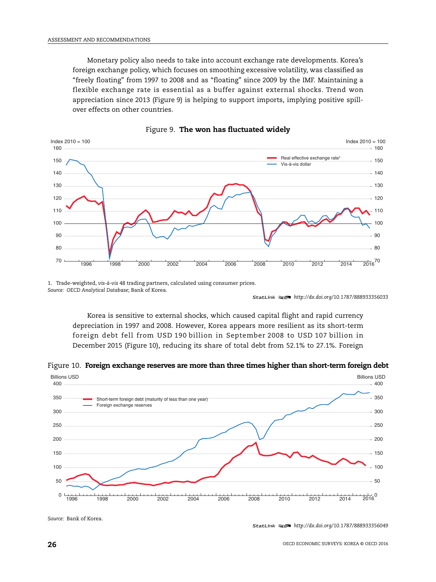Monetary policy also needs to take into account exchange rate developments. Korea's foreign exchange policy, which focuses on smoothing excessive volatility, was classified as "freely floating" from 1997 to 2008 and as "floating" since 2009 by the IMF. Maintaining a flexible exchange rate is essential as a buffer against external shocks. Trend won appreciation since 2013 (Figure 9) is helping to support imports, implying positive spillover effects on other countries.





1. Trade-weighted, *vis-à-vis* 48 trading partners, calculated using consumer prices. *Source: OECD Analytical Database*; Bank of Korea.

1 2 *<http://dx.doi.org/10.1787/888933356033>*

Korea is sensitive to external shocks, which caused capital flight and rapid currency depreciation in 1997 and 2008. However, Korea appears more resilient as its short-term foreign debt fell from USD 190 billion in September 2008 to USD 107 billion in December 2015 (Figure 10), reducing its share of total debt from 52.1% to 27.1%. Foreign

Figure 10. **Foreign exchange reserves are more than three times higher than short-term foreign debt**



*Source:* Bank of Korea.

1 2 *<http://dx.doi.org/10.1787/888933356049>*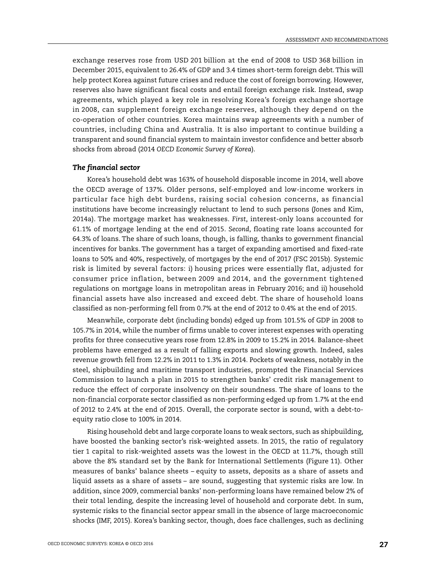exchange reserves rose from USD 201 billion at the end of 2008 to USD 368 billion in December 2015, equivalent to 26.4% of GDP and 3.4 times short-term foreign debt. This will help protect Korea against future crises and reduce the cost of foreign borrowing. However, reserves also have significant fiscal costs and entail foreign exchange risk. Instead, swap agreements, which played a key role in resolving Korea's foreign exchange shortage in 2008, can supplement foreign exchange reserves, although they depend on the co-operation of other countries. Korea maintains swap agreements with a number of countries, including China and Australia. It is also important to continue building a transparent and sound financial system to maintain investor confidence and better absorb shocks from abroad (2014 *OECD Economic Survey of Korea*).

## *The financial sector*

Korea's household debt was 163% of household disposable income in 2014, well above the OECD average of 137%. Older persons, self-employed and low-income workers in particular face high debt burdens, raising social cohesion concerns, as financial institutions have become increasingly reluctant to lend to such persons (Jones and Kim, 2014a). The mortgage market has weaknesses. *First*, interest-only loans accounted for 61.1% of mortgage lending at the end of 2015. *Second*, floating rate loans accounted for 64.3% of loans. The share of such loans, though, is falling, thanks to government financial incentives for banks. The government has a target of expanding amortised and fixed-rate loans to 50% and 40%, respectively, of mortgages by the end of 2017 (FSC 2015b). Systemic risk is limited by several factors: i) housing prices were essentially flat, adjusted for consumer price inflation, between 2009 and 2014, and the government tightened regulations on mortgage loans in metropolitan areas in February 2016; and ii) household financial assets have also increased and exceed debt. The share of household loans classified as non-performing fell from 0.7% at the end of 2012 to 0.4% at the end of 2015.

Meanwhile, corporate debt (including bonds) edged up from 101.5% of GDP in 2008 to 105.7% in 2014, while the number of firms unable to cover interest expenses with operating profits for three consecutive years rose from 12.8% in 2009 to 15.2% in 2014. Balance-sheet problems have emerged as a result of falling exports and slowing growth. Indeed, sales revenue growth fell from 12.2% in 2011 to 1.3% in 2014. Pockets of weakness, notably in the steel, shipbuilding and maritime transport industries, prompted the Financial Services Commission to launch a plan in 2015 to strengthen banks' credit risk management to reduce the effect of corporate insolvency on their soundness. The share of loans to the non-financial corporate sector classified as non-performing edged up from 1.7% at the end of 2012 to 2.4% at the end of 2015. Overall, the corporate sector is sound, with a debt-toequity ratio close to 100% in 2014.

Rising household debt and large corporate loans to weak sectors, such as shipbuilding, have boosted the banking sector's risk-weighted assets. In 2015, the ratio of regulatory tier 1 capital to risk-weighted assets was the lowest in the OECD at 11.7%, though still above the 8% standard set by the Bank for International Settlements (Figure 11). Other measures of banks' balance sheets – equity to assets, deposits as a share of assets and liquid assets as a share of assets – are sound, suggesting that systemic risks are low. In addition, since 2009, commercial banks' non-performing loans have remained below 2% of their total lending, despite the increasing level of household and corporate debt. In sum, systemic risks to the financial sector appear small in the absence of large macroeconomic shocks (IMF, 2015). Korea's banking sector, though, does face challenges, such as declining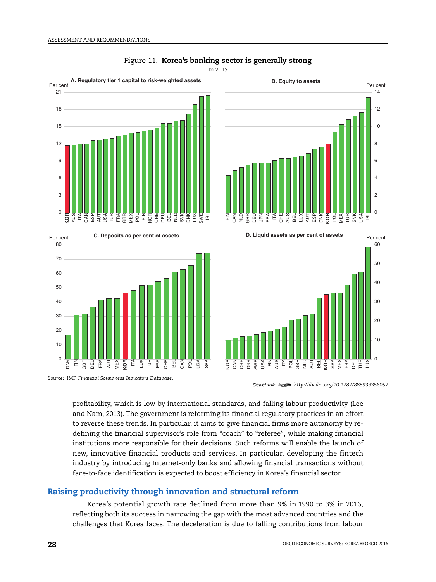

#### Figure 11. **Korea's banking sector is generally strong** In 2015

profitability, which is low by international standards, and falling labour productivity (Lee and Nam, 2013). The government is reforming its financial regulatory practices in an effort to reverse these trends. In particular, it aims to give financial firms more autonomy by redefining the financial supervisor's role from "coach" to "referee", while making financial institutions more responsible for their decisions. Such reforms will enable the launch of new, innovative financial products and services. In particular, developing the fintech industry by introducing Internet-only banks and allowing financial transactions without face-to-face identification is expected to boost efficiency in Korea's financial sector.

## **Raising productivity through innovation and structural reform**

Korea's potential growth rate declined from more than 9% in 1990 to 3% in 2016, reflecting both its success in narrowing the gap with the most advanced countries and the challenges that Korea faces. The deceleration is due to falling contributions from labour

<sup>1 2</sup> *<http://dx.doi.org/10.1787/888933356057>*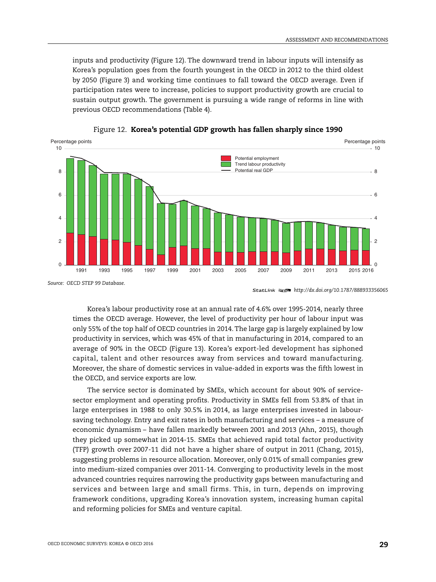inputs and productivity (Figure 12). The downward trend in labour inputs will intensify as Korea's population goes from the fourth youngest in the OECD in 2012 to the third oldest by 2050 (Figure 3) and working time continues to fall toward the OECD average. Even if participation rates were to increase, policies to support productivity growth are crucial to sustain output growth. The government is pursuing a wide range of reforms in line with previous OECD recommendations (Table 4).



Figure 12. **Korea's potential GDP growth has fallen sharply since 1990**

*Source: OECD STEP 99 Database*.

Korea's labour productivity rose at an annual rate of 4.6% over 1995-2014, nearly three times the OECD average. However, the level of productivity per hour of labour input was only 55% of the top half of OECD countries in 2014. The large gap is largely explained by low productivity in services, which was 45% of that in manufacturing in 2014, compared to an average of 90% in the OECD (Figure 13). Korea's export-led development has siphoned capital, talent and other resources away from services and toward manufacturing. Moreover, the share of domestic services in value-added in exports was the fifth lowest in the OECD, and service exports are low.

The service sector is dominated by SMEs, which account for about 90% of servicesector employment and operating profits. Productivity in SMEs fell from 53.8% of that in large enterprises in 1988 to only 30.5% in 2014, as large enterprises invested in laboursaving technology. Entry and exit rates in both manufacturing and services – a measure of economic dynamism – have fallen markedly between 2001 and 2013 (Ahn, 2015), though they picked up somewhat in 2014-15. SMEs that achieved rapid total factor productivity (TFP) growth over 2007-11 did not have a higher share of output in 2011 (Chang, 2015), suggesting problems in resource allocation. Moreover, only 0.01% of small companies grew into medium-sized companies over 2011-14. Converging to productivity levels in the most advanced countries requires narrowing the productivity gaps between manufacturing and services and between large and small firms. This, in turn, depends on improving framework conditions, upgrading Korea's innovation system, increasing human capital and reforming policies for SMEs and venture capital.

<sup>1 2</sup> *<http://dx.doi.org/10.1787/888933356065>*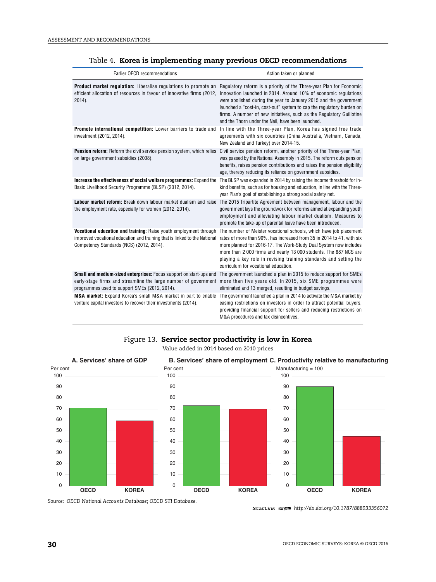|  |  |  |  |  |  |  |  | Table 4. Korea is implementing many previous OECD recommendations |
|--|--|--|--|--|--|--|--|-------------------------------------------------------------------|
|--|--|--|--|--|--|--|--|-------------------------------------------------------------------|

| Earlier OECD recommendations                                                                                                                                                               | Action taken or planned                                                                                                                                                                                                                                                                                                                                                                                            |  |  |  |
|--------------------------------------------------------------------------------------------------------------------------------------------------------------------------------------------|--------------------------------------------------------------------------------------------------------------------------------------------------------------------------------------------------------------------------------------------------------------------------------------------------------------------------------------------------------------------------------------------------------------------|--|--|--|
| <b>Product market regulation:</b> Liberalise regulations to promote an<br>efficient allocation of resources in favour of innovative firms (2012,<br>$2014$ ).                              | Regulatory reform is a priority of the Three-year Plan for Economic<br>Innovation launched in 2014. Around 10% of economic regulations<br>were abolished during the year to January 2015 and the government<br>launched a "cost-in, cost-out" system to cap the regulatory burden on<br>firms. A number of new initiatives, such as the Regulatory Guillotine<br>and the Thorn under the Nail, have been launched. |  |  |  |
| Promote international competition: Lower barriers to trade and<br>investment (2012, 2014).                                                                                                 | In line with the Three-year Plan, Korea has signed free trade<br>agreements with six countries (China Australia, Vietnam, Canada,<br>New Zealand and Turkey) over 2014-15.                                                                                                                                                                                                                                         |  |  |  |
| <b>Pension reform:</b> Reform the civil service pension system, which relies<br>on large government subsidies (2008).                                                                      | Civil service pension reform, another priority of the Three-year Plan,<br>was passed by the National Assembly in 2015. The reform cuts pension<br>benefits, raises pension contributions and raises the pension eligibility<br>age, thereby reducing its reliance on government subsidies.                                                                                                                         |  |  |  |
| Increase the effectiveness of social welfare programmes: Expand the<br>Basic Livelihood Security Programme (BLSP) (2012, 2014).                                                            | The BLSP was expanded in 2014 by raising the income threshold for in-<br>kind benefits, such as for housing and education, in line with the Three-<br>year Plan's goal of establishing a strong social safety net.                                                                                                                                                                                                 |  |  |  |
| Labour market reform: Break down labour market dualism and raise<br>the employment rate, especially for women (2012, 2014).                                                                | The 2015 Tripartite Agreement between management, labour and the<br>government lays the groundwork for reforms aimed at expanding youth<br>employment and alleviating labour market dualism. Measures to<br>promote the take-up of parental leave have been introduced.                                                                                                                                            |  |  |  |
| Vocational education and training: Raise youth employment through<br>improved vocational education and training that is linked to the National<br>Competency Standards (NCS) (2012, 2014). | The number of Meister vocational schools, which have job placement<br>rates of more than 90%, has increased from 35 in 2014 to 41, with six<br>more planned for 2016-17. The Work-Study Dual System now includes<br>more than 2 000 firms and nearly 13 000 students. The 887 NCS are<br>playing a key role in revising training standards and setting the<br>curriculum for vocational education.                 |  |  |  |
| Small and medium-sized enterprises: Focus support on start-ups and<br>programmes used to support SMEs (2012, 2014).                                                                        | The government launched a plan in 2015 to reduce support for SMEs<br>early-stage firms and streamline the large number of government more than five years old. In 2015, six SME programmes were<br>eliminated and 13 merged, resulting in budget savings.                                                                                                                                                          |  |  |  |
| M&A market: Expand Korea's small M&A market in part to enable<br>venture capital investors to recover their investments (2014).                                                            | The government launched a plan in 2014 to activate the M&A market by<br>easing restrictions on investors in order to attract potential buyers,<br>providing financial support for sellers and reducing restrictions on<br>M&A procedures and tax disincentives.                                                                                                                                                    |  |  |  |





*Source: OECD National Accounts Database*; *OECD STI Database*.

1 2 *<http://dx.doi.org/10.1787/888933356072>*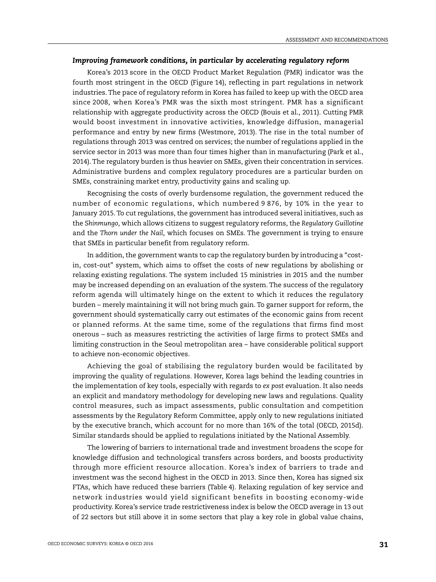#### *Improving framework conditions, in particular by accelerating regulatory reform*

Korea's 2013 score in the OECD Product Market Regulation (PMR) indicator was the fourth most stringent in the OECD (Figure 14), reflecting in part regulations in network industries. The pace of regulatory reform in Korea has failed to keep up with the OECD area since 2008, when Korea's PMR was the sixth most stringent. PMR has a significant relationship with aggregate productivity across the OECD (Bouis et al., 2011). Cutting PMR would boost investment in innovative activities, knowledge diffusion, managerial performance and entry by new firms (Westmore, 2013). The rise in the total number of regulations through 2013 was centred on services; the number of regulations applied in the service sector in 2013 was more than four times higher than in manufacturing (Park et al., 2014). The regulatory burden is thus heavier on SMEs, given their concentration in services. Administrative burdens and complex regulatory procedures are a particular burden on SMEs, constraining market entry, productivity gains and scaling up.

Recognising the costs of overly burdensome regulation, the government reduced the number of economic regulations, which numbered 9 876, by 10% in the year to January 2015. To cut regulations, the government has introduced several initiatives, such as the *Shinmungo*, which allows citizens to suggest regulatory reforms, the *Regulatory Guillotine* and the *Thorn under the Nail*, which focuses on SMEs. The government is trying to ensure that SMEs in particular benefit from regulatory reform.

In addition, the government wants to cap the regulatory burden by introducing a "costin, cost-out" system, which aims to offset the costs of new regulations by abolishing or relaxing existing regulations. The system included 15 ministries in 2015 and the number may be increased depending on an evaluation of the system. The success of the regulatory reform agenda will ultimately hinge on the extent to which it reduces the regulatory burden – merely maintaining it will not bring much gain. To garner support for reform, the government should systematically carry out estimates of the economic gains from recent or planned reforms. At the same time, some of the regulations that firms find most onerous – such as measures restricting the activities of large firms to protect SMEs and limiting construction in the Seoul metropolitan area – have considerable political support to achieve non-economic objectives.

Achieving the goal of stabilising the regulatory burden would be facilitated by improving the quality of regulations. However, Korea lags behind the leading countries in the implementation of key tools, especially with regards to *ex post* evaluation. It also needs an explicit and mandatory methodology for developing new laws and regulations. Quality control measures, such as impact assessments, public consultation and competition assessments by the Regulatory Reform Committee, apply only to new regulations initiated by the executive branch, which account for no more than 16% of the total (OECD, 2015d). Similar standards should be applied to regulations initiated by the National Assembly.

The lowering of barriers to international trade and investment broadens the scope for knowledge diffusion and technological transfers across borders, and boosts productivity through more efficient resource allocation. Korea's index of barriers to trade and investment was the second highest in the OECD in 2013. Since then, Korea has signed six FTAs, which have reduced these barriers (Table 4). Relaxing regulation of key service and network industries would yield significant benefits in boosting economy-wide productivity. Korea's service trade restrictiveness index is below the OECD average in 13 out of 22 sectors but still above it in some sectors that play a key role in global value chains,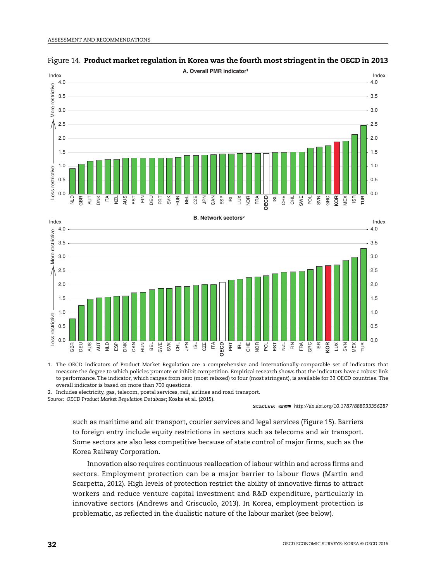

## Figure 14. **Product market regulation in Korea was the fourth most stringent in the OECD in 2013**

1. The OECD Indicators of Product Market Regulation are a comprehensive and internationally-comparable set of indicators that measure the degree to which policies promote or inhibit competition. Empirical research shows that the indicators have a robust link to performance. The indicator, which ranges from zero (most relaxed) to four (most stringent), is available for 33 OECD countries. The overall indicator is based on more than 700 questions.

2. Includes electricity, gas, telecom, postal services, rail, airlines and road transport.

*Source: OECD Product Market Regulation Database*; Koske et al. (2015).

1 2 *<http://dx.doi.org/10.1787/888933356287>*

such as maritime and air transport, courier services and legal services (Figure 15). Barriers to foreign entry include equity restrictions in sectors such as telecoms and air transport. Some sectors are also less competitive because of state control of major firms, such as the Korea Railway Corporation.

Innovation also requires continuous reallocation of labour within and across firms and sectors. Employment protection can be a major barrier to labour flows (Martin and Scarpetta, 2012). High levels of protection restrict the ability of innovative firms to attract workers and reduce venture capital investment and R&D expenditure, particularly in innovative sectors (Andrews and Criscuolo, 2013). In Korea, employment protection is problematic, as reflected in the dualistic nature of the labour market (see below).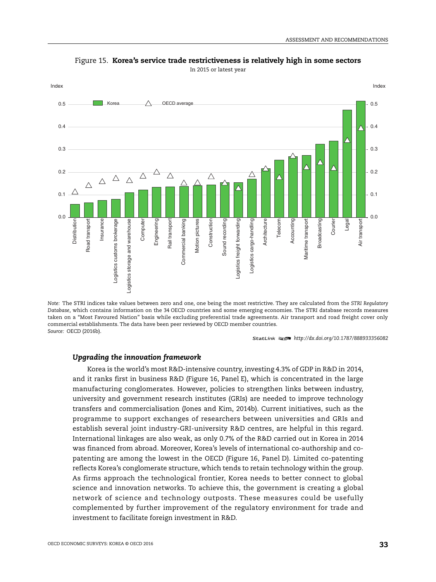

Figure 15. **Korea's service trade restrictiveness is relatively high in some sectors**

In 2015 or latest year

*Note:* The STRI indices take values between zero and one, one being the most restrictive. They are calculated from the *STRI Regulatory Database*, which contains information on the 34 OECD countries and some emerging economies. The STRI database records measures taken on a "Most Favoured Nation" basis while excluding preferential trade agreements. Air transport and road freight cover only commercial establishments. The data have been peer reviewed by OECD member countries. *Source:* OECD (2016b).

1 2 *<http://dx.doi.org/10.1787/888933356082>*

#### *Upgrading the innovation framework*

Korea is the world's most R&D-intensive country, investing 4.3% of GDP in R&D in 2014, and it ranks first in business R&D (Figure 16, Panel E), which is concentrated in the large manufacturing conglomerates. However, policies to strengthen links between industry, university and government research institutes (GRIs) are needed to improve technology transfers and commercialisation (Jones and Kim, 2014b). Current initiatives, such as the programme to support exchanges of researchers between universities and GRIs and establish several joint industry-GRI-university R&D centres, are helpful in this regard. International linkages are also weak, as only 0.7% of the R&D carried out in Korea in 2014 was financed from abroad. Moreover, Korea's levels of international co-authorship and copatenting are among the lowest in the OECD (Figure 16, Panel D). Limited co-patenting reflects Korea's conglomerate structure, which tends to retain technology within the group. As firms approach the technological frontier, Korea needs to better connect to global science and innovation networks. To achieve this, the government is creating a global network of science and technology outposts. These measures could be usefully complemented by further improvement of the regulatory environment for trade and investment to facilitate foreign investment in R&D.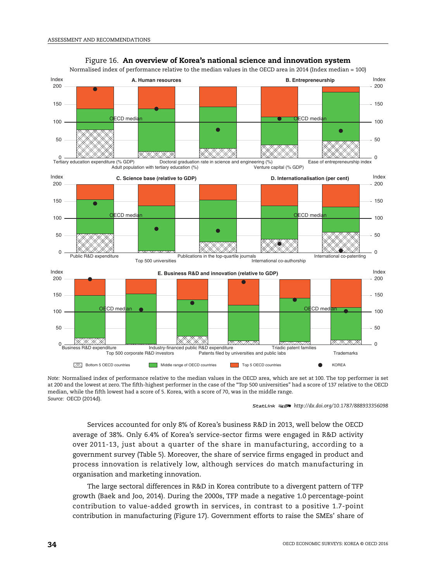

## Figure 16. **An overview of Korea's national science and innovation system**

Normalised index of performance relative to the median values in the OECD area in 2014 (Index median = 100)

1 2 *<http://dx.doi.org/10.1787/888933356098>*

Services accounted for only 8% of Korea's business R&D in 2013, well below the OECD average of 38%. Only 6.4% of Korea's service-sector firms were engaged in R&D activity over 2011-13, just about a quarter of the share in manufacturing, according to a government survey (Table 5). Moreover, the share of service firms engaged in product and process innovation is relatively low, although services do match manufacturing in organisation and marketing innovation.

The large sectoral differences in R&D in Korea contribute to a divergent pattern of TFP growth (Baek and Joo, 2014). During the 2000s, TFP made a negative 1.0 percentage-point contribution to value-added growth in services, in contrast to a positive 1.7-point contribution in manufacturing (Figure 17). Government efforts to raise the SMEs' share of

*Note:* Normalised index of performance relative to the median values in the OECD area, which are set at 100. The top performer is set at 200 and the lowest at zero. The fifth-highest performer in the case of the "Top 500 universities" had a score of 137 relative to the OECD median, while the fifth lowest had a score of 5. Korea, with a score of 70, was in the middle range. *Source:* OECD (2014d).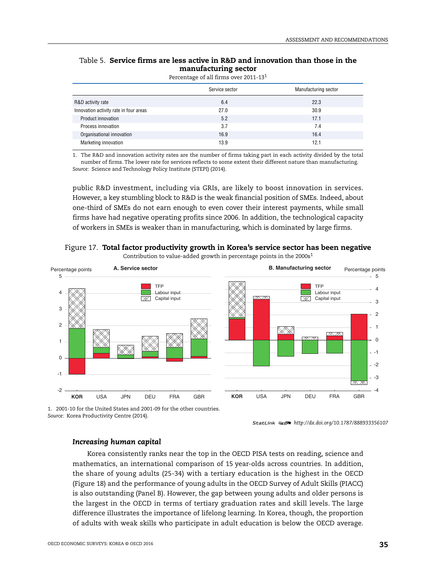## Table 5. **Service firms are less active in R&D and innovation than those in the manufacturing sector**

| Percentage of all firms over 2011-13 $^{\rm 1}$ |  |  |  |  |
|-------------------------------------------------|--|--|--|--|
|-------------------------------------------------|--|--|--|--|

|                                        | Service sector | Manufacturing sector |
|----------------------------------------|----------------|----------------------|
| R&D activity rate                      | 6.4            | 22.3                 |
| Innovation activity rate in four areas | 27.0           | 30.9                 |
| Product innovation                     | 5.2            | 17.1                 |
| Process innovation                     | 3.7            | 7.4                  |
| Organisational innovation              | 16.9           | 16.4                 |
| Marketing innovation                   | 13.9           | 12.1                 |

1. The R&D and innovation activity rates are the number of firms taking part in each activity divided by the total number of firms. The lower rate for services reflects to some extent their different nature than manufacturing. *Source:* Science and Technology Policy Institute (STEPI) (2014).

public R&D investment, including via GRIs, are likely to boost innovation in services. However, a key stumbling block to R&D is the weak financial position of SMEs. Indeed, about one-third of SMEs do not earn enough to even cover their interest payments, while small firms have had negative operating profits since 2006. In addition, the technological capacity of workers in SMEs is weaker than in manufacturing, which is dominated by large firms.

Figure 17. **Total factor productivity growth in Korea's service sector has been negative** Contribution to value-added growth in percentage points in the  $2000s<sup>1</sup>$ 



1. 2001-10 for the United States and 2001-09 for the other countries. *Source:* Korea Productivity Centre (2014).

1 2 *<http://dx.doi.org/10.1787/888933356107>*

## *Increasing human capital*

Korea consistently ranks near the top in the OECD PISA tests on reading, science and mathematics, an international comparison of 15 year-olds across countries. In addition, the share of young adults (25-34) with a tertiary education is the highest in the OECD (Figure 18) and the performance of young adults in the OECD Survey of Adult Skills (PIACC) is also outstanding (Panel B). However, the gap between young adults and older persons is the largest in the OECD in terms of tertiary graduation rates and skill levels. The large difference illustrates the importance of lifelong learning. In Korea, though, the proportion of adults with weak skills who participate in adult education is below the OECD average.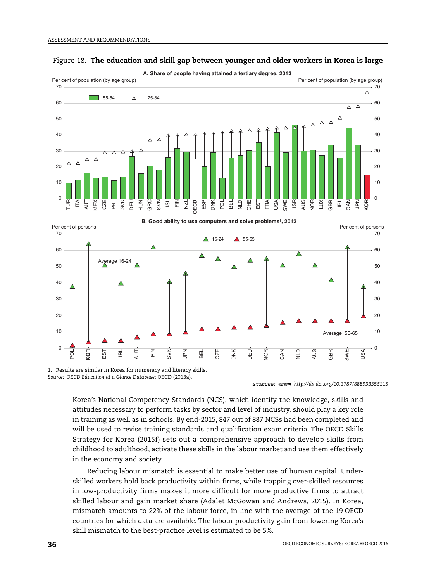

## Figure 18. **The education and skill gap between younger and older workers in Korea is large**

**A. Share of people having attained a tertiary degree, 2013**

1. Results are similar in Korea for numeracy and literacy skills. *Source: OECD Education at a Glance Database*; OECD (2013a).

1 2 *<http://dx.doi.org/10.1787/888933356115>*

Korea's National Competency Standards (NCS), which identify the knowledge, skills and attitudes necessary to perform tasks by sector and level of industry, should play a key role in training as well as in schools. By end-2015, 847 out of 887 NCSs had been completed and will be used to revise training standards and qualification exam criteria. The OECD Skills Strategy for Korea (2015f) sets out a comprehensive approach to develop skills from childhood to adulthood, activate these skills in the labour market and use them effectively in the economy and society.

Reducing labour mismatch is essential to make better use of human capital. Underskilled workers hold back productivity within firms, while trapping over-skilled resources in low-productivity firms makes it more difficult for more productive firms to attract skilled labour and gain market share (Adalet McGowan and Andrews, 2015). In Korea, mismatch amounts to 22% of the labour force, in line with the average of the 19 OECD countries for which data are available. The labour productivity gain from lowering Korea's skill mismatch to the best-practice level is estimated to be 5%.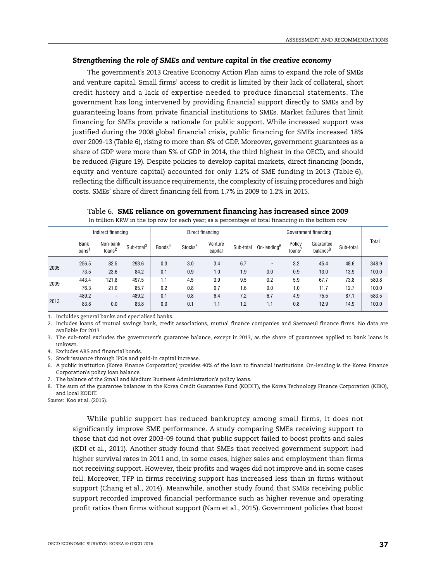### *Strengthening the role of SMEs and venture capital in the creative economy*

The government's 2013 Creative Economy Action Plan aims to expand the role of SMEs and venture capital. Small firms' access to credit is limited by their lack of collateral, short credit history and a lack of expertise needed to produce financial statements. The government has long intervened by providing financial support directly to SMEs and by guaranteeing loans from private financial institutions to SMEs. Market failures that limit financing for SMEs provide a rationale for public support. While increased support was justified during the 2008 global financial crisis, public financing for SMEs increased 18% over 2009-13 (Table 6), rising to more than 6% of GDP. Moreover, government guarantees as a share of GDP were more than 5% of GDP in 2014, the third highest in the OECD, and should be reduced (Figure 19). Despite policies to develop capital markets, direct financing (bonds, equity and venture capital) accounted for only 1.2% of SME funding in 2013 (Table 6), reflecting the difficult issuance requirements, the complexity of issuing procedures and high costs. SMEs' share of direct financing fell from 1.7% in 2009 to 1.2% in 2015.

|      |               | Direct financing<br>Indirect financing |                        |                    |                     | Government financing |           |                         |                  |                                   |           |       |
|------|---------------|----------------------------------------|------------------------|--------------------|---------------------|----------------------|-----------|-------------------------|------------------|-----------------------------------|-----------|-------|
|      | Bank<br>loans | Non-bank<br>loans <sup>2</sup>         | Sub-total <sup>3</sup> | Bonds <sup>4</sup> | Stocks <sup>5</sup> | Venture<br>capital   | Sub-total | On-lending <sup>6</sup> | Policy<br>loans' | Guarantee<br>balance <sup>8</sup> | Sub-total | Total |
|      | 256.5         | 82.5                                   | 293.6                  | 0.3                | 3.0                 | 3.4                  | 6.7       |                         | 3.2              | 45.4                              | 48.6      | 348.9 |
| 2005 | 73.5          | 23.6                                   | 84.2                   | 0.1                | 0.9                 | 1.0                  | 1.9       | 0.0                     | 0.9              | 13.0                              | 13.9      | 100.0 |
| 2009 | 443.4         | 121.8                                  | 497.5                  | 1.1                | 4.5                 | 3.9                  | 9.5       | 0.2                     | 5.9              | 67.7                              | 73.8      | 580.8 |
|      | 76.3          | 21.0                                   | 85.7                   | 0.2                | 0.8                 | 0.7                  | 1.6       | 0.0                     | 1.0              | 11.7                              | 12.7      | 100.0 |
|      | 489.2         | ٠                                      | 489.2                  | 0.1                | 0.8                 | 6.4                  | 7.2       | 6.7                     | 4.9              | 75.5                              | 87.1      | 583.5 |
| 2013 | 83.8          | 0.0                                    | 83.8                   | 0.0                | 0.1                 | 1.1                  | 1.2       | 1.1                     | 0.8              | 12.9                              | 14.9      | 100.0 |

Table 6. **SME reliance on government financing has increased since 2009** In trillion KRW in the top row for each year; as a percentage of total financing in the bottom row

1. Incluldes general banks and specialised banks.

2. Includes loans of mutual savings bank, credit associations, mutual finance companies and Saemaeul finance firms. No data are available for 2013.

3. The sub-total excludes the government's guarantee balance, except in 2013, as the share of guarantees applied to bank loans is unkown.

4. Excludes ABS and financial bonds.

5. Stock issuance through IPOs and paid-in capital increase.

6. A public institution (Korea Finance Corporation) provides 40% of the loan to financial institutions. On-lending is the Korea Finance Corporation's policy loan balance.

7. The balance of the Small and Medium Business Administration's policy loans.

8. The sum of the guarantee balances in the Korea Credit Guarantee Fund (KODIT), the Korea Technology Finance Corporation (KIBO), and local KODIT.

*Source:* Koo et al. (2015).

While public support has reduced bankruptcy among small firms, it does not significantly improve SME performance. A study comparing SMEs receiving support to those that did not over 2003-09 found that public support failed to boost profits and sales (KDI et al., 2011). Another study found that SMEs that received government support had higher survival rates in 2011 and, in some cases, higher sales and employment than firms not receiving support. However, their profits and wages did not improve and in some cases fell. Moreover, TFP in firms receiving support has increased less than in firms without support (Chang et al., 2014). Meanwhile, another study found that SMEs receiving public support recorded improved financial performance such as higher revenue and operating profit ratios than firms without support (Nam et al., 2015). Government policies that boost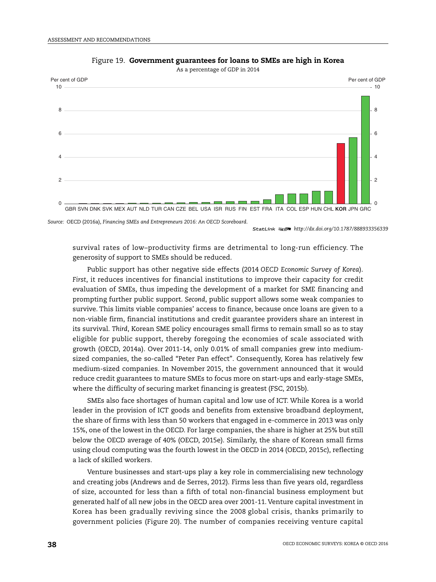

#### Figure 19. **Government guarantees for loans to SMEs are high in Korea**

As a percentage of GDP in 2014

1 2 *<http://dx.doi.org/10.1787/888933356339>*

survival rates of low–productivity firms are detrimental to long-run efficiency. The generosity of support to SMEs should be reduced.

Public support has other negative side effects (2014 *OECD Economic Survey of Korea*). *First*, it reduces incentives for financial institutions to improve their capacity for credit evaluation of SMEs, thus impeding the development of a market for SME financing and prompting further public support. *Second*, public support allows some weak companies to survive. This limits viable companies' access to finance, because once loans are given to a non-viable firm, financial institutions and credit guarantee providers share an interest in its survival. *Third*, Korean SME policy encourages small firms to remain small so as to stay eligible for public support, thereby foregoing the economies of scale associated with growth (OECD, 2014a). Over 2011-14, only 0.01% of small companies grew into mediumsized companies, the so-called "Peter Pan effect". Consequently, Korea has relatively few medium-sized companies. In November 2015, the government announced that it would reduce credit guarantees to mature SMEs to focus more on start-ups and early-stage SMEs, where the difficulty of securing market financing is greatest (FSC, 2015b).

SMEs also face shortages of human capital and low use of ICT. While Korea is a world leader in the provision of ICT goods and benefits from extensive broadband deployment, the share of firms with less than 50 workers that engaged in e-commerce in 2013 was only 15%, one of the lowest in the OECD. For large companies, the share is higher at 25% but still below the OECD average of 40% (OECD, 2015e). Similarly, the share of Korean small firms using cloud computing was the fourth lowest in the OECD in 2014 (OECD, 2015c), reflecting a lack of skilled workers.

Venture businesses and start-ups play a key role in commercialising new technology and creating jobs (Andrews and de Serres, 2012). Firms less than five years old, regardless of size, accounted for less than a fifth of total non-financial business employment but generated half of all new jobs in the OECD area over 2001-11. Venture capital investment in Korea has been gradually reviving since the 2008 global crisis, thanks primarily to government policies (Figure 20). The number of companies receiving venture capital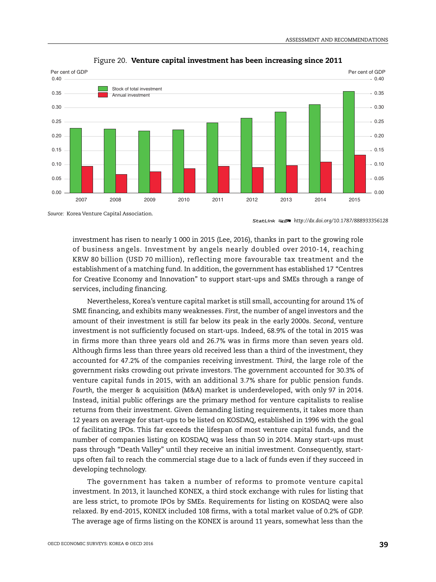



*Source:* Korea Venture Capital Association.

1 2 *<http://dx.doi.org/10.1787/888933356128>*

investment has risen to nearly 1 000 in 2015 (Lee, 2016), thanks in part to the growing role of business angels. Investment by angels nearly doubled over 2010-14, reaching KRW 80 billion (USD 70 million), reflecting more favourable tax treatment and the establishment of a matching fund. In addition, the government has established 17 "Centres for Creative Economy and Innovation" to support start-ups and SMEs through a range of services, including financing.

Nevertheless, Korea's venture capital market is still small, accounting for around 1% of SME financing, and exhibits many weaknesses. *First*, the number of angel investors and the amount of their investment is still far below its peak in the early 2000s. *Second*, venture investment is not sufficiently focused on start-ups. Indeed, 68.9% of the total in 2015 was in firms more than three years old and 26.7% was in firms more than seven years old. Although firms less than three years old received less than a third of the investment, they accounted for 47.2% of the companies receiving investment. *Third,* the large role of the government risks crowding out private investors. The government accounted for 30.3% of venture capital funds in 2015, with an additional 3.7% share for public pension funds. *Fourth,* the merger & acquisition (M&A) market is underdeveloped, with only 97 in 2014. Instead, initial public offerings are the primary method for venture capitalists to realise returns from their investment. Given demanding listing requirements, it takes more than 12 years on average for start-ups to be listed on KOSDAQ, established in 1996 with the goal of facilitating IPOs. This far exceeds the lifespan of most venture capital funds, and the number of companies listing on KOSDAQ was less than 50 in 2014. Many start-ups must pass through "Death Valley" until they receive an initial investment. Consequently, startups often fail to reach the commercial stage due to a lack of funds even if they succeed in developing technology.

The government has taken a number of reforms to promote venture capital investment. In 2013, it launched KONEX, a third stock exchange with rules for listing that are less strict, to promote IPOs by SMEs. Requirements for listing on KOSDAQ were also relaxed. By end-2015, KONEX included 108 firms, with a total market value of 0.2% of GDP. The average age of firms listing on the KONEX is around 11 years, somewhat less than the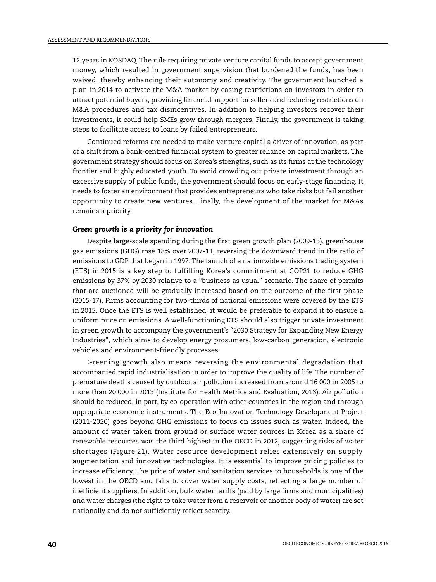12 years in KOSDAQ. The rule requiring private venture capital funds to accept government money, which resulted in government supervision that burdened the funds, has been waived, thereby enhancing their autonomy and creativity. The government launched a plan in 2014 to activate the M&A market by easing restrictions on investors in order to attract potential buyers, providing financial support for sellers and reducing restrictions on M&A procedures and tax disincentives. In addition to helping investors recover their investments, it could help SMEs grow through mergers. Finally, the government is taking steps to facilitate access to loans by failed entrepreneurs.

Continued reforms are needed to make venture capital a driver of innovation, as part of a shift from a bank-centred financial system to greater reliance on capital markets. The government strategy should focus on Korea's strengths, such as its firms at the technology frontier and highly educated youth. To avoid crowding out private investment through an excessive supply of public funds, the government should focus on early-stage financing. It needs to foster an environment that provides entrepreneurs who take risks but fail another opportunity to create new ventures. Finally, the development of the market for M&As remains a priority.

### *Green growth is a priority for innovation*

Despite large-scale spending during the first green growth plan (2009-13), greenhouse gas emissions (GHG) rose 18% over 2007-11, reversing the downward trend in the ratio of emissions to GDP that began in 1997. The launch of a nationwide emissions trading system (ETS) in 2015 is a key step to fulfilling Korea's commitment at COP21 to reduce GHG emissions by 37% by 2030 relative to a "business as usual" scenario. The share of permits that are auctioned will be gradually increased based on the outcome of the first phase (2015-17). Firms accounting for two-thirds of national emissions were covered by the ETS in 2015. Once the ETS is well established, it would be preferable to expand it to ensure a uniform price on emissions. A well-functioning ETS should also trigger private investment in green growth to accompany the government's "2030 Strategy for Expanding New Energy Industries", which aims to develop energy prosumers, low-carbon generation, electronic vehicles and environment-friendly processes.

Greening growth also means reversing the environmental degradation that accompanied rapid industrialisation in order to improve the quality of life. The number of premature deaths caused by outdoor air pollution increased from around 16 000 in 2005 to more than 20 000 in 2013 (Institute for Health Metrics and Evaluation, 2013). Air pollution should be reduced, in part, by co-operation with other countries in the region and through appropriate economic instruments. The Eco-Innovation Technology Development Project (2011-2020) goes beyond GHG emissions to focus on issues such as water. Indeed, the amount of water taken from ground or surface water sources in Korea as a share of renewable resources was the third highest in the OECD in 2012, suggesting risks of water shortages (Figure 21). Water resource development relies extensively on supply augmentation and innovative technologies. It is essential to improve pricing policies to increase efficiency. The price of water and sanitation services to households is one of the lowest in the OECD and fails to cover water supply costs, reflecting a large number of inefficient suppliers. In addition, bulk water tariffs (paid by large firms and municipalities) and water charges (the right to take water from a reservoir or another body of water) are set nationally and do not sufficiently reflect scarcity.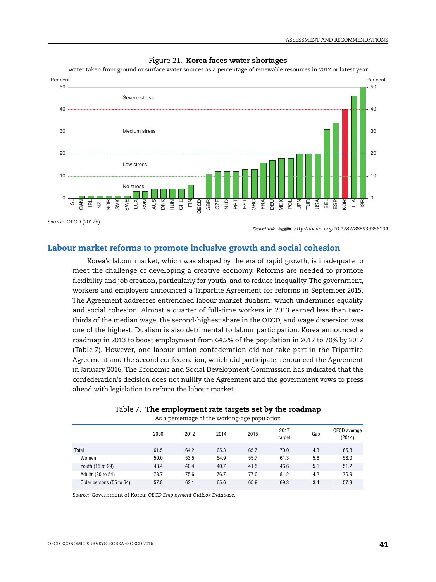

#### Figure 21. **Korea faces water shortages**

Water taken from ground or surface water sources as a percentage of renewable resources in 2012 or latest year

*Source:* OECD (2012b).

1 2 *<http://dx.doi.org/10.1787/888933356134>*

## **Labour market reforms to promote inclusive growth and social cohesion**

Korea's labour market, which was shaped by the era of rapid growth, is inadequate to meet the challenge of developing a creative economy. Reforms are needed to promote flexibility and job creation, particularly for youth, and to reduce inequality. The government, workers and employers announced a Tripartite Agreement for reforms in September 2015. The Agreement addresses entrenched labour market dualism, which undermines equality and social cohesion. Almost a quarter of full-time workers in 2013 earned less than twothirds of the median wage, the second-highest share in the OECD, and wage dispersion was one of the highest. Dualism is also detrimental to labour participation. Korea announced a roadmap in 2013 to boost employment from 64.2% of the population in 2012 to 70% by 2017 (Table 7). However, one labour union confederation did not take part in the Tripartite Agreement and the second confederation, which did participate, renounced the Agreement in January 2016. The Economic and Social Development Commission has indicated that the confederation's decision does not nullify the Agreement and the government vows to press ahead with legislation to reform the labour market.

|                          |      | -    |      |      |                |     |                        |
|--------------------------|------|------|------|------|----------------|-----|------------------------|
|                          | 2000 | 2012 | 2014 | 2015 | 2017<br>target | Gap | OECD average<br>(2014) |
| Total                    | 61.5 | 64.2 | 65.3 | 65.7 | 70.0           | 4.3 | 65.8                   |
| Women                    | 50.0 | 53.5 | 54.9 | 55.7 | 61.3           | 5.6 | 58.0                   |
| Youth (15 to 29)         | 43.4 | 40.4 | 40.7 | 41.5 | 46.6           | 5.1 | 51.2                   |
| Adults (30 to 54)        | 73.7 | 75.6 | 76.7 | 77.0 | 81.2           | 4.2 | 76.9                   |
| Older persons (55 to 64) | 57.8 | 63.1 | 65.6 | 65.9 | 69.3           | 3.4 | 57.3                   |

As a percentage of the working-age population

*Source:* Government of Korea; *OECD Employment Outlook Database*.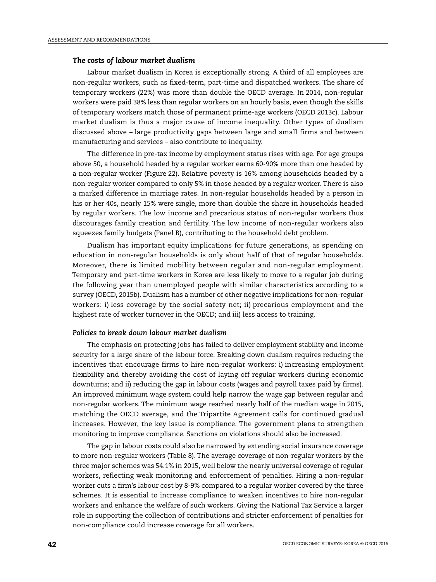#### *The costs of labour market dualism*

Labour market dualism in Korea is exceptionally strong. A third of all employees are non-regular workers, such as fixed-term, part-time and dispatched workers. The share of temporary workers (22%) was more than double the OECD average. In 2014, non-regular workers were paid 38% less than regular workers on an hourly basis, even though the skills of temporary workers match those of permanent prime-age workers (OECD 2013c). Labour market dualism is thus a major cause of income inequality. Other types of dualism discussed above – large productivity gaps between large and small firms and between manufacturing and services – also contribute to inequality.

The difference in pre-tax income by employment status rises with age. For age groups above 50, a household headed by a regular worker earns 60-90% more than one headed by a non-regular worker (Figure 22). Relative poverty is 16% among households headed by a non-regular worker compared to only 5% in those headed by a regular worker. There is also a marked difference in marriage rates. In non-regular households headed by a person in his or her 40s, nearly 15% were single, more than double the share in households headed by regular workers. The low income and precarious status of non-regular workers thus discourages family creation and fertility. The low income of non-regular workers also squeezes family budgets (Panel B), contributing to the household debt problem.

Dualism has important equity implications for future generations, as spending on education in non-regular households is only about half of that of regular households. Moreover, there is limited mobility between regular and non-regular employment. Temporary and part-time workers in Korea are less likely to move to a regular job during the following year than unemployed people with similar characteristics according to a survey (OECD, 2015b). Dualism has a number of other negative implications for non-regular workers: i) less coverage by the social safety net; ii) precarious employment and the highest rate of worker turnover in the OECD; and iii) less access to training.

### *Policies to break down labour market dualism*

The emphasis on protecting jobs has failed to deliver employment stability and income security for a large share of the labour force. Breaking down dualism requires reducing the incentives that encourage firms to hire non-regular workers: i) increasing employment flexibility and thereby avoiding the cost of laying off regular workers during economic downturns; and ii) reducing the gap in labour costs (wages and payroll taxes paid by firms). An improved minimum wage system could help narrow the wage gap between regular and non-regular workers. The minimum wage reached nearly half of the median wage in 2015, matching the OECD average, and the Tripartite Agreement calls for continued gradual increases. However, the key issue is compliance. The government plans to strengthen monitoring to improve compliance. Sanctions on violations should also be increased.

The gap in labour costs could also be narrowed by extending social insurance coverage to more non-regular workers (Table 8). The average coverage of non-regular workers by the three major schemes was 54.1% in 2015, well below the nearly universal coverage of regular workers, reflecting weak monitoring and enforcement of penalties. Hiring a non-regular worker cuts a firm's labour cost by 8-9% compared to a regular worker covered by the three schemes. It is essential to increase compliance to weaken incentives to hire non-regular workers and enhance the welfare of such workers. Giving the National Tax Service a larger role in supporting the collection of contributions and stricter enforcement of penalties for non-compliance could increase coverage for all workers.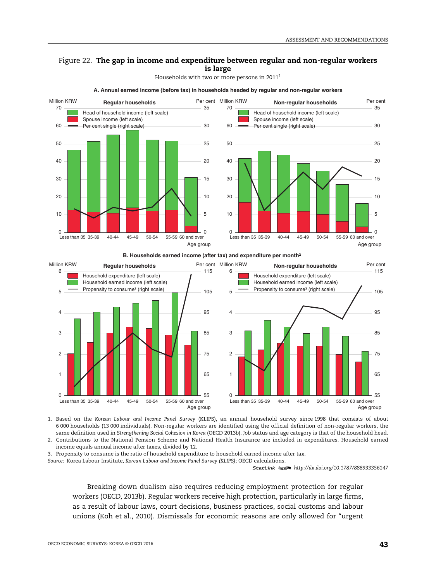35 Per cent

#### Figure 22. **The gap in income and expenditure between regular and non-regular workers is large**

Households with two or more persons in 2011 $^1$ 



**A. Annual earned income (before tax) in households headed by regular and non-regular workers**



**B. Households earned income (after tax) and expenditure per month²**



1. Based on the *Korean Labour and Income Panel Survey* (KLIPS), an annual household survey since 1998 that consists of about 6 000 households (13 000 individuals). Non-regular workers are identified using the official definition of non-regular workers, the same definition used in *Strengthening Social Cohesion in Korea* (OECD 2013b). Job status and age category is that of the household head.

2. Contributions to the National Pension Scheme and National Health Insurance are included in expenditures. Household earned income equals annual income after taxes, divided by 12.

3. Propensity to consume is the ratio of household expenditure to household earned income after tax.

*Source:* Korea Labour Institute, *Korean Labour and Income Panel Survey (KLIPS)*; OECD calculations.

1 2 *<http://dx.doi.org/10.1787/888933356147>*

Breaking down dualism also requires reducing employment protection for regular workers (OECD, 2013b). Regular workers receive high protection, particularly in large firms, as a result of labour laws, court decisions, business practices, social customs and labour unions (Koh et al., 2010). Dismissals for economic reasons are only allowed for "urgent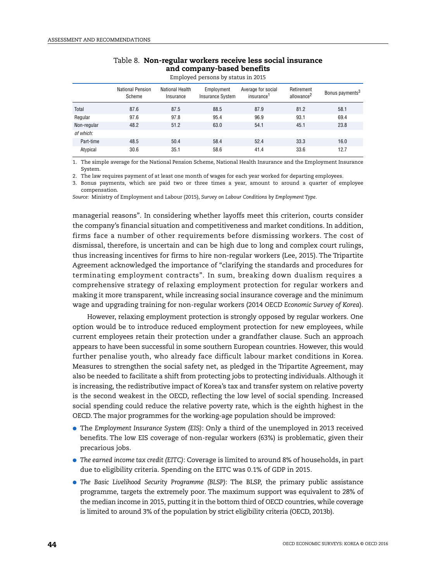| Linployed persons by status in 2015 |                                   |                              |                                       |                                              |                                      |                             |
|-------------------------------------|-----------------------------------|------------------------------|---------------------------------------|----------------------------------------------|--------------------------------------|-----------------------------|
|                                     | <b>National Pension</b><br>Scheme | National Health<br>Insurance | Employment<br><b>Insurance System</b> | Average for social<br>insurance <sup>1</sup> | Retirement<br>allowance <sup>2</sup> | Bonus payments <sup>3</sup> |
| Total                               | 87.6                              | 87.5                         | 88.5                                  | 87.9                                         | 81.2                                 | 58.1                        |
| Regular                             | 97.6                              | 97.8                         | 95.4                                  | 96.9                                         | 93.1                                 | 69.4                        |
| Non-regular                         | 48.2                              | 51.2                         | 63.0                                  | 54.1                                         | 45.1                                 | 23.8                        |
| of which:                           |                                   |                              |                                       |                                              |                                      |                             |
| Part-time                           | 48.5                              | 50.4                         | 58.4                                  | 52.4                                         | 33.3                                 | 16.0                        |
| Atypical                            | 30.6                              | 35.1                         | 58.6                                  | 41.4                                         | 33.6                                 | 12.7                        |

#### Table 8. **Non-regular workers receive less social insurance and company-based benefits** Employed persons by status in 2015

1. The simple average for the National Pension Scheme, National Health Insurance and the Employment Insurance System.

2. The law requires payment of at least one month of wages for each year worked for departing employees.

3. Bonus payments, which are paid two or three times a year, amount to around a quarter of employee compensation.

*Source:* Ministry of Employment and Labour (2015), *Survey on Labour Conditions by Employment Type*.

managerial reasons". In considering whether layoffs meet this criterion, courts consider the company's financial situation and competitiveness and market conditions. In addition, firms face a number of other requirements before dismissing workers. The cost of dismissal, therefore, is uncertain and can be high due to long and complex court rulings, thus increasing incentives for firms to hire non-regular workers (Lee, 2015). The Tripartite Agreement acknowledged the importance of "clarifying the standards and procedures for terminating employment contracts". In sum, breaking down dualism requires a comprehensive strategy of relaxing employment protection for regular workers and making it more transparent, while increasing social insurance coverage and the minimum wage and upgrading training for non-regular workers (2014 *OECD Economic Survey of Korea*).

However, relaxing employment protection is strongly opposed by regular workers. One option would be to introduce reduced employment protection for new employees, while current employees retain their protection under a grandfather clause. Such an approach appears to have been successful in some southern European countries. However, this would further penalise youth, who already face difficult labour market conditions in Korea. Measures to strengthen the social safety net, as pledged in the Tripartite Agreement, may also be needed to facilitate a shift from protecting jobs to protecting individuals. Although it is increasing, the redistributive impact of Korea's tax and transfer system on relative poverty is the second weakest in the OECD, reflecting the low level of social spending. Increased social spending could reduce the relative poverty rate, which is the eighth highest in the OECD. The major programmes for the working-age population should be improved:

- The *Employment Insurance System (EIS)*: Only a third of the unemployed in 2013 received benefits. The low EIS coverage of non-regular workers (63%) is problematic, given their precarious jobs.
- *The earned income tax credit (EITC)*: Coverage is limited to around 8% of households, in part due to eligibility criteria. Spending on the EITC was 0.1% of GDP in 2015.
- *The Basic Livelihood Security Programme (BLSP)*: The BLSP, the primary public assistance programme, targets the extremely poor. The maximum support was equivalent to 28% of the median income in 2015, putting it in the bottom third of OECD countries, while coverage is limited to around 3% of the population by strict eligibility criteria (OECD, 2013b).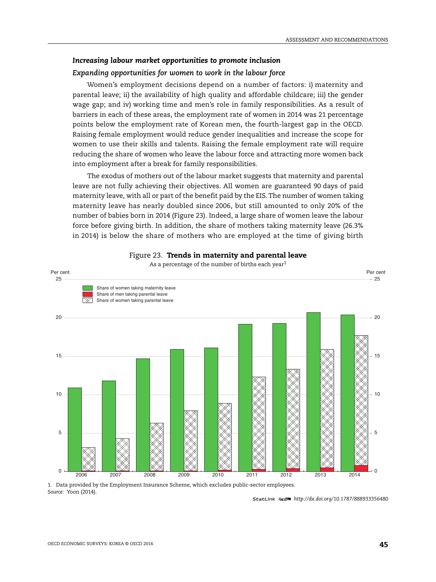## *Increasing labour market opportunities to promote inclusion*

#### *Expanding opportunities for women to work in the labour force*

Women's employment decisions depend on a number of factors: i) maternity and parental leave; ii) the availability of high quality and affordable childcare; iii) the gender wage gap; and iv) working time and men's role in family responsibilities. As a result of barriers in each of these areas, the employment rate of women in 2014 was 21 percentage points below the employment rate of Korean men, the fourth-largest gap in the OECD. Raising female employment would reduce gender inequalities and increase the scope for women to use their skills and talents. Raising the female employment rate will require reducing the share of women who leave the labour force and attracting more women back into employment after a break for family responsibilities.

The exodus of mothers out of the labour market suggests that maternity and parental leave are not fully achieving their objectives. All women are guaranteed 90 days of paid maternity leave, with all or part of the benefit paid by the EIS. The number of women taking maternity leave has nearly doubled since 2006, but still amounted to only 20% of the number of babies born in 2014 (Figure 23). Indeed, a large share of women leave the labour force before giving birth. In addition, the share of mothers taking maternity leave (26.3% in 2014) is below the share of mothers who are employed at the time of giving birth





1. Data provided by the Employment Insurance Scheme, which excludes public-sector employees. *Source:* Yoon (2014).

1 2 *<http://dx.doi.org/10.1787/888933356480>*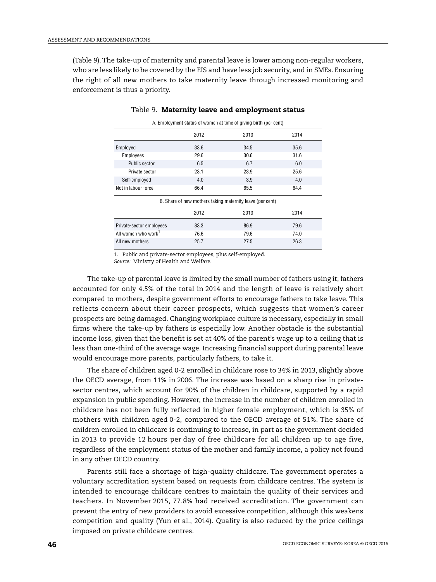(Table 9). The take-up of maternity and parental leave is lower among non-regular workers, who are less likely to be covered by the EIS and have less job security, and in SMEs. Ensuring the right of all new mothers to take maternity leave through increased monitoring and enforcement is thus a priority.

|                                 |      | A. Employment status of women at time of giving birth (per cent) |      |
|---------------------------------|------|------------------------------------------------------------------|------|
|                                 | 2012 | 2013                                                             | 2014 |
| Employed                        | 33.6 | 34.5                                                             | 35.6 |
| Employees                       | 29.6 | 30.6                                                             | 31.6 |
| Public sector                   | 6.5  | 6.7                                                              | 6.0  |
| Private sector                  | 23.1 | 23.9                                                             | 25.6 |
| Self-employed                   | 4.0  | 3.9                                                              | 4.0  |
| Not in labour force             | 66.4 | 65.5                                                             | 64.4 |
|                                 |      | B. Share of new mothers taking maternity leave (per cent)        |      |
|                                 | 2012 | 2013                                                             | 2014 |
| Private-sector employees        | 83.3 | 86.9                                                             | 79.6 |
| All women who work <sup>1</sup> | 76.6 | 79.6                                                             | 74.0 |
| All new mothers                 | 25.7 | 27.5                                                             | 26.3 |

Table 9. **Maternity leave and employment status**

1. Public and private-sector employees, plus self-employed.

*Source:* Ministry of Health and Welfare.

The take-up of parental leave is limited by the small number of fathers using it; fathers accounted for only 4.5% of the total in 2014 and the length of leave is relatively short compared to mothers, despite government efforts to encourage fathers to take leave. This reflects concern about their career prospects, which suggests that women's career prospects are being damaged. Changing workplace culture is necessary, especially in small firms where the take-up by fathers is especially low. Another obstacle is the substantial income loss, given that the benefit is set at 40% of the parent's wage up to a ceiling that is less than one-third of the average wage. Increasing financial support during parental leave would encourage more parents, particularly fathers, to take it.

The share of children aged 0-2 enrolled in childcare rose to 34% in 2013, slightly above the OECD average, from 11% in 2006. The increase was based on a sharp rise in privatesector centres, which account for 90% of the children in childcare, supported by a rapid expansion in public spending. However, the increase in the number of children enrolled in childcare has not been fully reflected in higher female employment, which is 35% of mothers with children aged 0-2, compared to the OECD average of 51%. The share of children enrolled in childcare is continuing to increase, in part as the government decided in 2013 to provide 12 hours per day of free childcare for all children up to age five, regardless of the employment status of the mother and family income, a policy not found in any other OECD country.

Parents still face a shortage of high-quality childcare. The government operates a voluntary accreditation system based on requests from childcare centres. The system is intended to encourage childcare centres to maintain the quality of their services and teachers. In November 2015, 77.8% had received accreditation. The government can prevent the entry of new providers to avoid excessive competition, although this weakens competition and quality (Yun et al., 2014). Quality is also reduced by the price ceilings imposed on private childcare centres.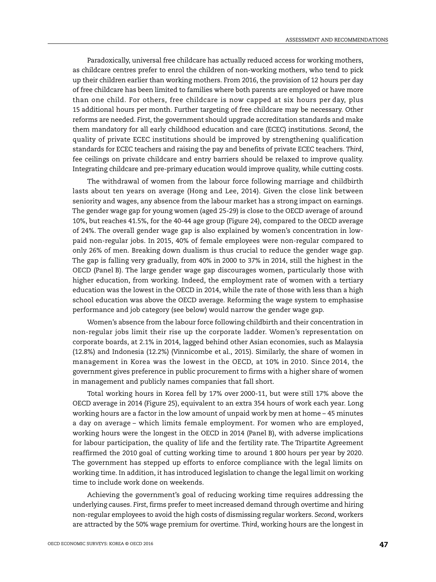Paradoxically, universal free childcare has actually reduced access for working mothers, as childcare centres prefer to enrol the children of non-working mothers, who tend to pick up their children earlier than working mothers. From 2016, the provision of 12 hours per day of free childcare has been limited to families where both parents are employed or have more than one child. For others, free childcare is now capped at six hours per day, plus 15 additional hours per month. Further targeting of free childcare may be necessary. Other reforms are needed. *First*, the government should upgrade accreditation standards and make them mandatory for all early childhood education and care (ECEC) institutions. *Second,* the quality of private ECEC institutions should be improved by strengthening qualification standards for ECEC teachers and raising the pay and benefits of private ECEC teachers. *Third*, fee ceilings on private childcare and entry barriers should be relaxed to improve quality. Integrating childcare and pre-primary education would improve quality, while cutting costs.

The withdrawal of women from the labour force following marriage and childbirth lasts about ten years on average (Hong and Lee, 2014). Given the close link between seniority and wages, any absence from the labour market has a strong impact on earnings. The gender wage gap for young women (aged 25-29) is close to the OECD average of around 10%, but reaches 41.5%, for the 40-44 age group (Figure 24), compared to the OECD average of 24%. The overall gender wage gap is also explained by women's concentration in lowpaid non-regular jobs. In 2015, 40% of female employees were non-regular compared to only 26% of men. Breaking down dualism is thus crucial to reduce the gender wage gap. The gap is falling very gradually, from 40% in 2000 to 37% in 2014, still the highest in the OECD (Panel B). The large gender wage gap discourages women, particularly those with higher education, from working. Indeed, the employment rate of women with a tertiary education was the lowest in the OECD in 2014, while the rate of those with less than a high school education was above the OECD average. Reforming the wage system to emphasise performance and job category (see below) would narrow the gender wage gap.

Women's absence from the labour force following childbirth and their concentration in non-regular jobs limit their rise up the corporate ladder. Women's representation on corporate boards, at 2.1% in 2014, lagged behind other Asian economies, such as Malaysia (12.8%) and Indonesia (12.2%) (Vinnicombe et al., 2015). Similarly, the share of women in management in Korea was the lowest in the OECD, at 10% in 2010. Since 2014, the government gives preference in public procurement to firms with a higher share of women in management and publicly names companies that fall short.

Total working hours in Korea fell by 17% over 2000-11, but were still 17% above the OECD average in 2014 (Figure 25), equivalent to an extra 354 hours of work each year. Long working hours are a factor in the low amount of unpaid work by men at home – 45 minutes a day on average – which limits female employment. For women who are employed, working hours were the longest in the OECD in 2014 (Panel B), with adverse implications for labour participation, the quality of life and the fertility rate. The Tripartite Agreement reaffirmed the 2010 goal of cutting working time to around 1 800 hours per year by 2020. The government has stepped up efforts to enforce compliance with the legal limits on working time. In addition, it has introduced legislation to change the legal limit on working time to include work done on weekends.

Achieving the government's goal of reducing working time requires addressing the underlying causes. *First*, firms prefer to meet increased demand through overtime and hiring non-regular employees to avoid the high costs of dismissing regular workers. *Second*, workers are attracted by the 50% wage premium for overtime. *Third*, working hours are the longest in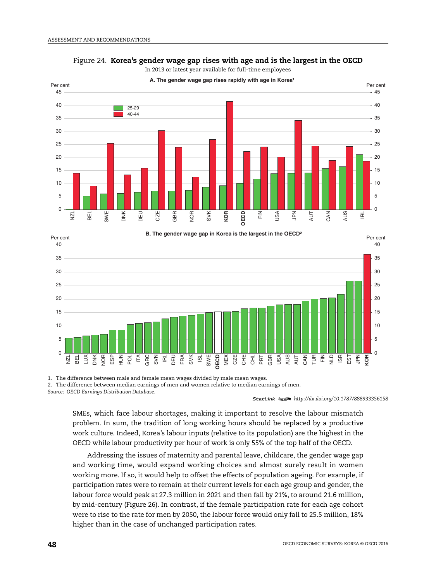



In 2013 or latest year available for full-time employees



1. The difference between male and female mean wages divided by male mean wages.

*Source: OECD Earnings Distribution Database*.

2. The difference between median earnings of men and women relative to median earnings of men.

1 2 *<http://dx.doi.org/10.1787/888933356158>*

SMEs, which face labour shortages, making it important to resolve the labour mismatch problem. In sum, the tradition of long working hours should be replaced by a productive work culture. Indeed, Korea's labour inputs (relative to its population) are the highest in the OECD while labour productivity per hour of work is only 55% of the top half of the OECD.

Addressing the issues of maternity and parental leave, childcare, the gender wage gap and working time, would expand working choices and almost surely result in women working more. If so, it would help to offset the effects of population ageing. For example, if participation rates were to remain at their current levels for each age group and gender, the labour force would peak at 27.3 million in 2021 and then fall by 21%, to around 21.6 million, by mid-century (Figure 26). In contrast, if the female participation rate for each age cohort were to rise to the rate for men by 2050, the labour force would only fall to 25.5 million, 18% higher than in the case of unchanged participation rates.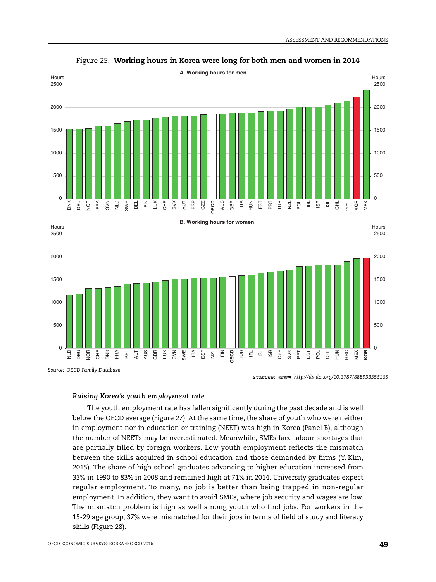

Figure 25. **Working hours in Korea were long for both men and women in 2014**

1 2 *<http://dx.doi.org/10.1787/888933356165>*

#### *Raising Korea's youth employment rate*

The youth employment rate has fallen significantly during the past decade and is well below the OECD average (Figure 27). At the same time, the share of youth who were neither in employment nor in education or training (NEET) was high in Korea (Panel B), although the number of NEETs may be overestimated. Meanwhile, SMEs face labour shortages that are partially filled by foreign workers. Low youth employment reflects the mismatch between the skills acquired in school education and those demanded by firms (Y. Kim, 2015). The share of high school graduates advancing to higher education increased from 33% in 1990 to 83% in 2008 and remained high at 71% in 2014. University graduates expect regular employment. To many, no job is better than being trapped in non-regular employment. In addition, they want to avoid SMEs, where job security and wages are low. The mismatch problem is high as well among youth who find jobs. For workers in the 15-29 age group, 37% were mismatched for their jobs in terms of field of study and literacy skills (Figure 28).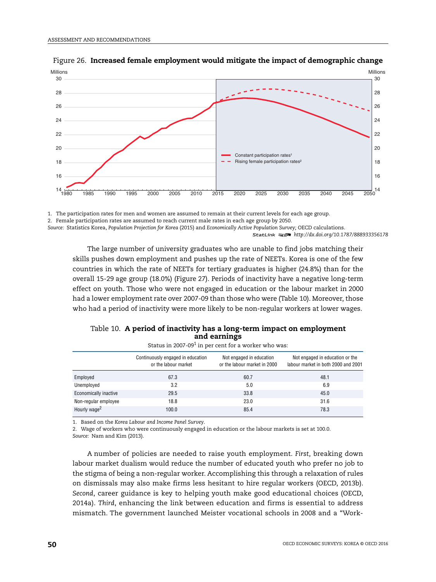

Figure 26. **Increased female employment would mitigate the impact of demographic change**

1. The participation rates for men and women are assumed to remain at their current levels for each age group.

2. Female participation rates are assumed to reach current male rates in each age group by 2050.

*Source:* Statistics Korea, *Population Projection for Korea* (2015) and *Economically Active Population Survey;* OECD calculations.

1 2 *<http://dx.doi.org/10.1787/888933356178>*

The large number of university graduates who are unable to find jobs matching their skills pushes down employment and pushes up the rate of NEETs. Korea is one of the few countries in which the rate of NEETs for tertiary graduates is higher (24.8%) than for the overall 15-29 age group (18.0%) (Figure 27). Periods of inactivity have a negative long-term effect on youth. Those who were not engaged in education or the labour market in 2000 had a lower employment rate over 2007-09 than those who were (Table 10). Moreover, those who had a period of inactivity were more likely to be non-regular workers at lower wages.

## Table 10. **A period of inactivity has a long-term impact on employment and earnings**

|                          | Continuously engaged in education<br>or the labour market | Not engaged in education<br>or the labour market in 2000 | Not engaged in education or the<br>labour market in both 2000 and 2001 |
|--------------------------|-----------------------------------------------------------|----------------------------------------------------------|------------------------------------------------------------------------|
| Employed                 | 67.3                                                      | 60.7                                                     | 48.1                                                                   |
| Unemployed               | 3.2                                                       | 5.0                                                      | 6.9                                                                    |
| Economically inactive    | 29.5                                                      | 33.8                                                     | 45.0                                                                   |
| Non-regular employee     | 18.8                                                      | 23.0                                                     | 31.6                                                                   |
| Hourly wage <sup>2</sup> | 100.0                                                     | 85.4                                                     | 78.3                                                                   |

Status in 2007-09 $1$  in per cent for a worker who was:

1. Based on the *Korea Labour and Income Panel Survey*.

2. Wage of workers who were continuously engaged in education or the labour markets is set at 100.0. *Source:* Nam and Kim (2013).

A number of policies are needed to raise youth employment. *First*, breaking down labour market dualism would reduce the number of educated youth who prefer no job to the stigma of being a non-regular worker. Accomplishing this through a relaxation of rules on dismissals may also make firms less hesitant to hire regular workers (OECD, 2013b). *Second*, career guidance is key to helping youth make good educational choices (OECD, 2014a). *Third*, enhancing the link between education and firms is essential to address mismatch. The government launched Meister vocational schools in 2008 and a "Work-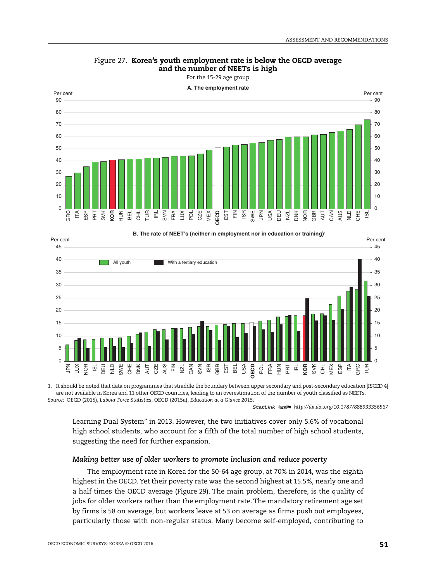

Figure 27. **Korea's youth employment rate is below the OECD average and the number of NEETs is high**

For the 15-29 age group

 $\epsilon$ 5 10 15 20 25 30 35  $40$ 45 Per cent 0 5 10 15 20 25 30 35  $-40$  $-45$ Per cent  $\mathbb{R}$ LUX NOR  $\overline{\omega}$ DEU NLD SWE 또<br>5 DNK AUT CZE AUS  $\frac{2}{\ln 2}$ **N**ZL **CAN** SVN ISR GBR EST BEL USA **OECD** POL FRA HUN PRT E **KOR** SVK  $\vec{z}$ MEX ESP  $E$ GRC TUR **B. The rate of NEET's (neither in employment nor in education or training)**<sup>1</sup> **All youth** With a tertiary education

1. It should be noted that data on programmes that straddle the boundary between upper secondary and post-secondary education [ISCED 4] are not available in Korea and 11 other OECD countries, leading to an overestimation of the number of youth classified as NEETs. *Source:* OECD (2015), *Labour Force Statistics*; OECD (2015a), *Education at a Glance 2015* .

1 2 *<http://dx.doi.org/10.1787/888933356567>*

Learning Dual System" in 2013. However, the two initiatives cover only 5.6% of vocational high school students, who account for a fifth of the total number of high school students, suggesting the need for further expansion.

## *Making better use of older workers to promote inclusion and reduce poverty*

The employment rate in Korea for the 50-64 age group, at 70% in 2014, was the eighth highest in the OECD. Yet their poverty rate was the second highest at 15.5%, nearly one and a half times the OECD average (Figure 29). The main problem, therefore, is the quality of jobs for older workers rather than the employment rate. The mandatory retirement age set by firms is 58 on average, but workers leave at 53 on average as firms push out employees, particularly those with non-regular status. Many become self-employed, contributing to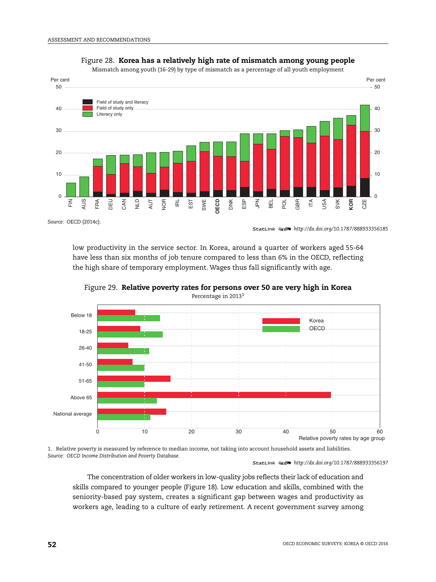



Mismatch among youth (16-29) by type of mismatch as a percentage of all youth employment

*Source:* OECD (2014c).

1 2 *<http://dx.doi.org/10.1787/888933356185>*

low productivity in the service sector. In Korea, around a quarter of workers aged 55-64 have less than six months of job tenure compared to less than 6% in the OECD, reflecting the high share of temporary employment. Wages thus fall significantly with age.



Figure 29. **Relative poverty rates for persons over 50 are very high in Korea** Percentage in 20131

1. Relative poverty is measured by reference to median income, not taking into account household assets and liabilities. *Source: OECD Income Distribution and Poverty Database.*

1 2 *<http://dx.doi.org/10.1787/888933356197>*

The concentration of older workers in low-quality jobs reflects their lack of education and skills compared to younger people (Figure 18). Low education and skills, combined with the seniority-based pay system, creates a significant gap between wages and productivity as workers age, leading to a culture of early retirement. A recent government survey among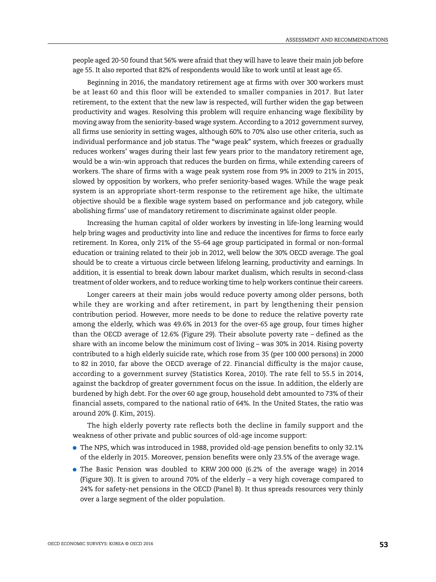people aged 20-50 found that 56% were afraid that they will have to leave their main job before age 55. It also reported that 82% of respondents would like to work until at least age 65.

Beginning in 2016, the mandatory retirement age at firms with over 300 workers must be at least 60 and this floor will be extended to smaller companies in 2017. But later retirement, to the extent that the new law is respected, will further widen the gap between productivity and wages. Resolving this problem will require enhancing wage flexibility by moving away from the seniority-based wage system. According to a 2012 government survey, all firms use seniority in setting wages, although 60% to 70% also use other criteria, such as individual performance and job status. The "wage peak" system, which freezes or gradually reduces workers' wages during their last few years prior to the mandatory retirement age, would be a win-win approach that reduces the burden on firms, while extending careers of workers. The share of firms with a wage peak system rose from 9% in 2009 to 21% in 2015, slowed by opposition by workers, who prefer seniority-based wages. While the wage peak system is an appropriate short-term response to the retirement age hike, the ultimate objective should be a flexible wage system based on performance and job category, while abolishing firms' use of mandatory retirement to discriminate against older people.

Increasing the human capital of older workers by investing in life-long learning would help bring wages and productivity into line and reduce the incentives for firms to force early retirement. In Korea, only 21% of the 55-64 age group participated in formal or non-formal education or training related to their job in 2012, well below the 30% OECD average. The goal should be to create a virtuous circle between lifelong learning, productivity and earnings. In addition, it is essential to break down labour market dualism, which results in second-class treatment of older workers, and to reduce working time to help workers continue their careers.

Longer careers at their main jobs would reduce poverty among older persons, both while they are working and after retirement, in part by lengthening their pension contribution period. However, more needs to be done to reduce the relative poverty rate among the elderly, which was 49.6% in 2013 for the over-65 age group, four times higher than the OECD average of 12.6% (Figure 29). Their absolute poverty rate – defined as the share with an income below the minimum cost of living – was 30% in 2014. Rising poverty contributed to a high elderly suicide rate, which rose from 35 (per 100 000 persons) in 2000 to 82 in 2010, far above the OECD average of 22. Financial difficulty is the major cause, according to a government survey (Statistics Korea, 2010). The rate fell to 55.5 in 2014, against the backdrop of greater government focus on the issue. In addition, the elderly are burdened by high debt. For the over 60 age group, household debt amounted to 73% of their financial assets, compared to the national ratio of 64%. In the United States, the ratio was around 20% (J. Kim, 2015).

The high elderly poverty rate reflects both the decline in family support and the weakness of other private and public sources of old-age income support:

- The NPS, which was introduced in 1988, provided old-age pension benefits to only 32.1% of the elderly in 2015. Moreover, pension benefits were only 23.5% of the average wage.
- The Basic Pension was doubled to KRW 200 000 (6.2% of the average wage) in 2014 (Figure 30). It is given to around 70% of the elderly – a very high coverage compared to 24% for safety-net pensions in the OECD (Panel B). It thus spreads resources very thinly over a large segment of the older population.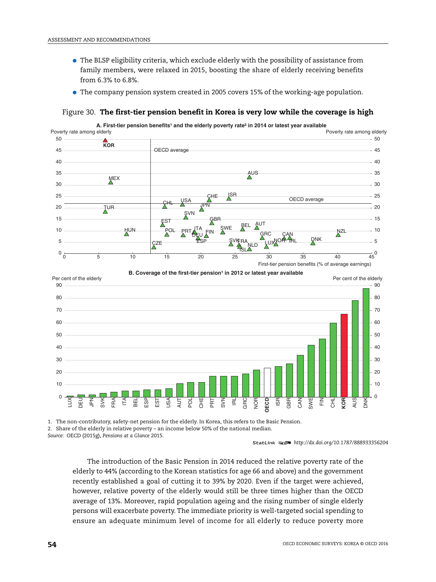- $\bullet$  The BLSP eligibility criteria, which exclude elderly with the possibility of assistance from family members, were relaxed in 2015, boosting the share of elderly receiving benefits from 6.3% to 6.8%.
- The company pension system created in 2005 covers 15% of the working-age population.

### Figure 30. **The first-tier pension benefit in Korea is very low while the coverage is high**



1. The non-contributory, safety-net pension for the elderly. In Korea, this refers to the Basic Pension. 2. Share of the elderly in relative poverty – an income below 50% of the national median. *Source:* OECD (2015g), *Pensions at a Glance* 2015.

1 2 *<http://dx.doi.org/10.1787/888933356204>*

The introduction of the Basic Pension in 2014 reduced the relative poverty rate of the elderly to 44% (according to the Korean statistics for age 66 and above) and the government recently established a goal of cutting it to 39% by 2020. Even if the target were achieved, however, relative poverty of the elderly would still be three times higher than the OECD average of 13%. Moreover, rapid population ageing and the rising number of single elderly persons will exacerbate poverty. The immediate priority is well-targeted social spending to ensure an adequate minimum level of income for all elderly to reduce poverty more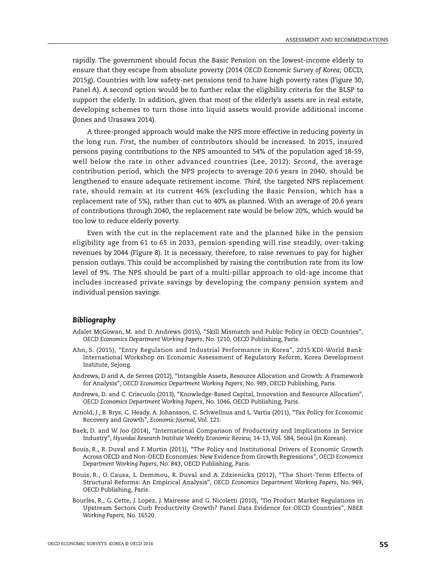rapidly. The government should focus the Basic Pension on the lowest-income elderly to ensure that they escape from absolute poverty (2014 *OECD Economic Survey of Korea*; OECD, 2015g). Countries with low safety-net pensions tend to have high poverty rates (Figure 30, Panel A). A second option would be to further relax the eligibility criteria for the BLSP to support the elderly. In addition, given that most of the elderly's assets are in real estate, developing schemes to turn those into liquid assets would provide additional income (Jones and Urasawa 2014).

A three-pronged approach would make the NPS more effective in reducing poverty in the long run. *First,* the number of contributors should be increased. In 2015, insured persons paying contributions to the NPS amounted to 54% of the population aged 18-59, well below the rate in other advanced countries (Lee, 2012). *Second,* the average contribution period, which the NPS projects to average 20.6 years in 2040, should be lengthened to ensure adequate retirement income. *Third,* the targeted NPS replacement rate, should remain at its current 46% (excluding the Basic Pension, which has a replacement rate of 5%), rather than cut to 40% as planned. With an average of 20.6 years of contributions through 2040, the replacement rate would be below 20%, which would be too low to reduce elderly poverty.

Even with the cut in the replacement rate and the planned hike in the pension eligibility age from 61 to 65 in 2033, pension spending will rise steadily, over-taking revenues by 2044 (Figure 8). It is necessary, therefore, to raise revenues to pay for higher pension outlays. This could be accomplished by raising the contribution rate from its low level of 9%. The NPS should be part of a multi-pillar approach to old-age income that includes increased private savings by developing the company pension system and individual pension savings.

## *Bibliography*

- Adalet McGowan, M. and D. Andrews (2015), "Skill Mismatch and Public Policy in OECD Countries", *OECD Economics Department Working Papers*, No. 1210, OECD Publishing, Paris.
- Ahn, S. (2015), "Entry Regulation and Industrial Performance in Korea", 2015 KDI-World Bank International Workshop on Economic Assessment of Regulatory Reform, Korea Development Institute, Sejong.
- Andrews, D and A. de Serres (2012), "Intangible Assets, Resource Allocation and Growth: A Framework for Analysis", *OECD Economics Department Working Papers*, No. 989, OECD Publishing, Paris.
- Andrews, D. and C. Criscuolo (2013), "Knowledge-Based Capital, Innovation and Resource Allocation", *OECD Economics Department Working Papers*, No. 1046, OECD Publishing, Paris.
- Arnold, J., B. Brys, C. Heady, A. Johansson, C. Schwellnus and L. Vartia (2011), "Tax Policy for Economic Recovery and Growth", *Economic Journal*, Vol. 121.
- Baek, D. and W. Joo (2014), "International Comparison of Productivity and Implications in Service Industry", *Hyundai Research Institute Weekly Economic Review,* 14-13, Vol. 584, Seoul (in Korean).
- Bouis, R., R. Duval and F. Murtin (2011), "The Policy and Institutional Drivers of Economic Growth Across OECD and Non-OECD Economies: New Evidence from Growth Regressions", *OECD Economics Department Working Papers*, No. 843, OECD Publishing, Paris.
- Bouis, R., O. Causa, L. Demmou, R. Duval and A. Zdzienicka (2012), "The Short-Term Effects of Structural Reforms: An Empirical Analysis", *OECD Economics Department Working Papers,* No. 949, OECD Publishing, Paris.
- Bourlès, R., G. Cette, J. Lopez, J. Mairesse and G. Nicoletti (2010), "Do Product Market Regulations in Upstream Sectors Curb Productivity Growth? Panel Data Evidence for OECD Countries", *NBER Working Papers,* No. 16520.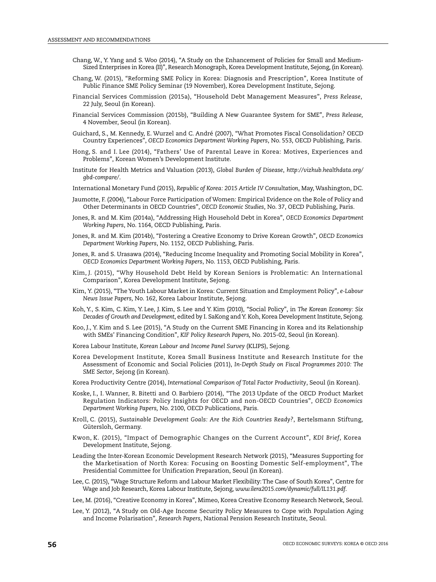- Chang, W., Y. Yang and S. Woo (2014), "A Study on the Enhancement of Policies for Small and Medium-Sized Enterprises in Korea (II)", Research Monograph, Korea Development Institute, Sejong, (in Korean).
- Chang, W. (2015), "Reforming SME Policy in Korea: Diagnosis and Prescription", Korea Institute of Public Finance SME Policy Seminar (19 November), Korea Development Institute, Sejong.
- Financial Services Commission (2015a), "Household Debt Management Measures", *Press Release*, 22 July, Seoul (in Korean).
- Financial Services Commission (2015b), "Building A New Guarantee System for SME", *Press Release,* 4 November, Seoul (in Korean).
- Guichard, S., M. Kennedy, E. Wurzel and C. André (2007), "What Promotes Fiscal Consolidation? OECD Country Experiences", *OECD Economics Department Working Papers*, No. 553, OECD Publishing, Paris.
- Hong, S. and I. Lee (2014), "Fathers' Use of Parental Leave in Korea: Motives, Experiences and Problems", Korean Women's Development Institute.
- Institute for Health Metrics and Valuation (2013), *Global Burden of Disease*, *[http://vizhub.healthdata.org/](http://vizhub.healthdata.org/gbd-compare/) [gbd-compare/](http://vizhub.healthdata.org/gbd-compare/)*.
- International Monetary Fund (2015), *Republic of Korea: 2015 Article IV Consultation*, May, Washington, DC.
- Jaumotte, F. (2004), "Labour Force Participation of Women: Empirical Evidence on the Role of Policy and Other Determinants in OECD Countries", *OECD Economic Studies*, No. 37, OECD Publishing, Paris.
- Jones, R. and M. Kim (2014a), "Addressing High Household Debt in Korea", *OECD Economics Department Working Papers*, No. 1164, OECD Publishing, Paris.
- Jones, R. and M. Kim (2014b), "Fostering a Creative Economy to Drive Korean Growth", *OECD Economics Department Working Papers*, No. 1152, OECD Publishing, Paris.
- Jones, R. and S. Urasawa (2014), "Reducing Income Inequality and Promoting Social Mobility in Korea", *OECD Economics Department Working Papers*, No. 1153, OECD Publishing, Paris.
- Kim, J. (2015), "Why Household Debt Held by Korean Seniors is Problematic: An International Comparison", Korea Development Institute, Sejong.
- Kim, Y. (2015), "The Youth Labour Market in Korea: Current Situation and Employment Policy", *e-Labour News Issue Papers,* No. 162, Korea Labour Institute, Sejong.
- Koh, Y., S. Kim, C. Kim, Y. Lee, J. Kim, S. Lee and Y. Kim (2010), "Social Policy", in *The Korean Economy: Six Decades of Growth and Development*, edited by I. SaKong and Y. Koh, Korea Development Institute, Sejong.
- Koo, J., Y. Kim and S. Lee (2015), "A Study on the Current SME Financing in Korea and its Relationship with SMEs' Financing Condition", *KIF Policy Research Papers,* No. 2015-02, Seoul (in Korean).
- Korea Labour Institute, *Korean Labour and Income Panel Survey* (KLIPS), Sejong.
- Korea Development Institute, Korea Small Business Institute and Research Institute for the Assessment of Economic and Social Policies (2011), *In-Depth Study on Fiscal Programmes 2010: The SME Sector*, Sejong (in Korean).

Korea Productivity Centre (2014), *International Comparison of Total Factor Productivity*, Seoul (in Korean).

- Koske, I., I. Wanner, R. Bitetti and O. Barbiero (2014), "The 2013 Update of the OECD Product Market Regulation Indicators: Policy Insights for OECD and non-OECD Countries", *OECD Economics Department Working Papers,* No. 2100, OECD Publications, Paris.
- Kroll, C. (2015), *Sustainable Development Goals: Are the Rich Countries Ready?*, Bertelsmann Stiftung, Gütersloh, Germany.
- Kwon, K. (2015), "Impact of Demographic Changes on the Current Account", *KDI Brief*, Korea Development Institute, Sejong.
- Leading the Inter-Korean Economic Development Research Network (2015), "Measures Supporting for the Marketisation of North Korea: Focusing on Boosting Domestic Self-employment", The Presidential Committee for Unification Preparation, Seoul (in Korean).
- Lee, C. (2015), "Wage Structure Reform and Labour Market Flexibility: The Case of South Korea", Centre for Wage and Job Research, Korea Labour Institute, Sejong, *[www.ilera2015.com/dynamic/full/IL131.pdf](http://www.ilera2015.com/dynamic/full/IL131.pdf)*.

Lee, M. (2016), "Creative Economy in Korea", Mimeo, Korea Creative Economy Research Network, Seoul.

Lee, Y. (2012), "A Study on Old-Age Income Security Policy Measures to Cope with Population Aging and Income Polarisation", *Research Papers*, National Pension Research Institute, Seoul.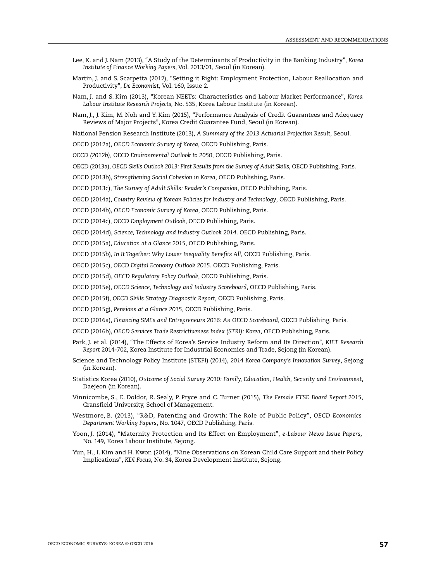- Lee, K. and J. Nam (2013), "A Study of the Determinants of Productivity in the Banking Industry", *Korea Institute of Finance Working Papers*, Vol. 2013/01, Seoul (in Korean).
- Martin, J. and S. Scarpetta (2012), "Setting it Right: Employment Protection, Labour Reallocation and Productivity", *De Economist,* Vol. 160, Issue 2.
- Nam, J. and S. Kim (2013), "Korean NEETs: Characteristics and Labour Market Performance", *Korea Labour Institute Research Projects,* No. 535, Korea Labour Institute (in Korean).
- Nam, J., J. Kim, M. Noh and Y. Kim (2015), "Performance Analysis of Credit Guarantees and Adequacy Reviews of Major Projects", Korea Credit Guarantee Fund, Seoul (in Korean).
- National Pension Research Institute (2013), *A Summary of the 2013 Actuarial Projection Result*, Seoul.
- OECD (2012a), *OECD Economic Survey of Korea,* OECD Publishing, Paris.
- *[OECD \(2012b\), OECD Environmental Outlook to 2050](http://pac-apps.oecd.org/kappa/Publications/Description.asp?ProductId=85609)*, OECD Publishing, Paris.
- OECD (2013a), *OECD Skills Outlook 2013: First Results from the Survey of Adult Skills,* OECD Publishing, Paris.
- OECD (2013b), *Strengthening Social Cohesion in Korea,* OECD Publishing, Paris*.*
- OECD (2013c), *The Survey of Adult Skills: Reader's Companion*, OECD Publishing, Paris.
- OECD (2014a), *Country Review of Korean Policies for Industry and Technology*, OECD Publishing, Paris.
- OECD (2014b), *OECD Economic Survey of Korea,* OECD Publishing, Paris.
- OECD (2014c), *OECD Employment Outlook*, OECD Publishing, Paris.
- OECD (2014d), *Science, Technology and Industry Outlook 2014.* OECD Publishing, Paris.
- OECD (2015a), *Education at a Glance 2015,* OECD Publishing, Paris.
- OECD (2015b), *In It Together: Why Lower Inequality Benefits All*, OECD Publishing, Paris.
- OECD (2015c), *OECD Digital Economy Outlook 2015.* OECD Publishing, Paris.
- OECD (2015d), *OECD Regulatory Policy Outlook,* OECD Publishing, Paris.
- OECD (2015e), *OECD Science, Technology and Industry Scoreboard,* OECD Publishing, Paris.
- OECD (2015f), *OECD Skills Strategy Diagnostic Report,* OECD Publishing, Paris.
- OECD (2015g), *Pensions at a Glance 2015,* OECD Publishing, Paris.
- OECD (2016a), *Financing SMEs and Entrepreneurs 2016: An OECD Scoreboard*, OECD Publishing, Paris.
- OECD (2016b), *OECD Services Trade Restrictiveness Index (STRI): Korea,* OECD Publishing, Paris.
- Park, J. et al. (2014), "The Effects of Korea's Service Industry Reform and Its Direction", *KIET Research Report* 2014-702, Korea Institute for Industrial Economics and Trade, Sejong (in Korean).
- Science and Technology Policy Institute (STEPI) (2014), *2014 Korea Company's Innovation Survey*, Sejong (in Korean).
- Statistics Korea (2010), *Outcome of Social Survey 2010: Family, Education, Health, Security and Environment*, Daejeon (in Korean).
- Vinnicombe, S., E. Doldor, R. Sealy, P. Pryce and C. Turner (2015), *The Female FTSE Board Report 2015*, Cransfield University, School of Management.
- Westmore, B. (2013), "R&D, Patenting and Growth: The Role of Public Policy", *OECD Economics Department Working Papers*, No. 1047, OECD Publishing, Paris.
- Yoon, J. (2014), "Maternity Protection and Its Effect on Employment", *e-Labour News Issue Papers,* No. 149, Korea Labour Institute, Sejong.
- Yun, H., I. Kim and H. Kwon (2014), "Nine Observations on Korean Child Care Support and their Policy Implications", *KDI Focus,* No. 34, Korea Development Institute, Sejong.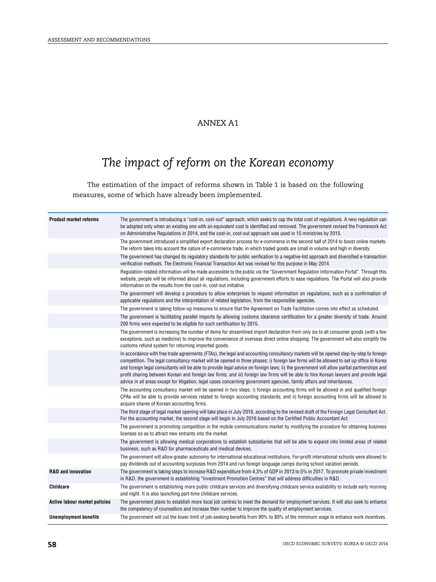## ANNEX A1

# *The impact of reform on the Korean economy*

The estimation of the impact of reforms shown in Table 1 is based on the following measures, some of which have already been implemented.

| <b>Product market reforms</b>        | The government is introducing a "cost-in, cost-out" approach, which seeks to cap the total cost of regulations. A new regulation can<br>be adopted only when an existing one with an equivalent cost is identified and removed. The government revised the Framework Act<br>on Administrative Regulations in 2014, and the cost-in, cost-out approach was used in 15 ministries by 2015.                                                                                                                                                                                                                                                                                                           |
|--------------------------------------|----------------------------------------------------------------------------------------------------------------------------------------------------------------------------------------------------------------------------------------------------------------------------------------------------------------------------------------------------------------------------------------------------------------------------------------------------------------------------------------------------------------------------------------------------------------------------------------------------------------------------------------------------------------------------------------------------|
|                                      | The government introduced a simplified export declaration process for e-commerce in the second half of 2014 to boost online markets.<br>The reform takes into account the nature of e-commerce trade, in which traded goods are small in volume and high in diversity.                                                                                                                                                                                                                                                                                                                                                                                                                             |
|                                      | The government has changed its regulatory standards for public verification to a negative-list approach and diversified e-transaction<br>verification methods. The Electronic Financial Transaction Act was revised for this purpose in May 2014.                                                                                                                                                                                                                                                                                                                                                                                                                                                  |
|                                      | Regulation-related information will be made accessible to the public via the "Government Regulation Information Portal". Through this<br>website, people will be informed about all regulations, including government efforts to ease regulations. The Portal will also provide<br>information on the results from the cost-in, cost-out initiative.                                                                                                                                                                                                                                                                                                                                               |
|                                      | The government will develop a procedure to allow enterprises to request information on regulations, such as a confirmation of<br>applicable regulations and the interpretation of related legislation, from the responsible agencies.                                                                                                                                                                                                                                                                                                                                                                                                                                                              |
|                                      | The government is taking follow-up measures to ensure that the Agreement on Trade Facilitation comes into effect as scheduled.                                                                                                                                                                                                                                                                                                                                                                                                                                                                                                                                                                     |
|                                      | The government is facilitating parallel imports by allowing customs clearance certification for a greater diversity of trade. Around<br>200 firms were expected to be eligible for such certification by 2015.                                                                                                                                                                                                                                                                                                                                                                                                                                                                                     |
|                                      | The government is increasing the number of items for streamlined import declaration from only six to all consumer goods (with a few<br>exceptions, such as medicine) to improve the convenience of overseas direct online shopping. The government will also simplify the<br>customs refund system for returning imported goods.                                                                                                                                                                                                                                                                                                                                                                   |
|                                      | In accordance with free trade agreements (FTAs), the legal and accounting consultancy markets will be opened step-by-step to foreign<br>competition. The legal consultancy market will be opened in three phases: i) foreign law firms will be allowed to set up office in Korea<br>and foreign legal consultants will be able to provide legal advice on foreign laws; ii) the government will allow partial partnerships and<br>profit sharing between Korean and foreign law firms; and iii) foreign law firms will be able to hire Korean lawyers and provide legal<br>advice in all areas except for litigation, legal cases concerning government agencies, family affairs and inheritances. |
|                                      | The accounting consultancy market will be opened in two steps: i) foreign accounting firms will be allowed in and qualified foreign<br>CPAs will be able to provide services related to foreign accounting standards; and ii) foreign accounting firms will be allowed to<br>acquire shares of Korean accounting firms.                                                                                                                                                                                                                                                                                                                                                                            |
|                                      | The third stage of legal market opening will take place in July 2016, according to the revised draft of the Foreign Legal Consultant Act.<br>For the accounting market, the second stage will begin in July 2016 based on the Certified Public Accountant Act.                                                                                                                                                                                                                                                                                                                                                                                                                                     |
|                                      | The government is promoting competition in the mobile communications market by modifying the procedure for obtaining business<br>licenses so as to attract new entrants into the market.                                                                                                                                                                                                                                                                                                                                                                                                                                                                                                           |
|                                      | The government is allowing medical corporations to establish subsidiaries that will be able to expand into limited areas of related<br>business, such as R&D for pharmaceuticals and medical devices.                                                                                                                                                                                                                                                                                                                                                                                                                                                                                              |
|                                      | The government will allow greater autonomy for international educational institutions. For-profit international schools were allowed to<br>pay dividends out of accounting surpluses from 2014 and run foreign language camps during school vacation periods.                                                                                                                                                                                                                                                                                                                                                                                                                                      |
| <b>R&amp;D and innovation</b>        | The government is taking steps to increase R&D expenditure from 4.3% of GDP in 2013 to 5% in 2017. To promote private investment<br>in R&D, the government is establishing "Investment Promotion Centres" that will address difficulties in R&D.                                                                                                                                                                                                                                                                                                                                                                                                                                                   |
| Childcare                            | The government is establishing more public childcare services and diversifying childcare service availability to include early morning<br>and night. It is also launching part-time childcare services.                                                                                                                                                                                                                                                                                                                                                                                                                                                                                            |
| <b>Active labour market policies</b> | The government plans to establish more local job centres to meet the demand for employment services. It will also seek to enhance<br>the competency of counsellors and increase their number to improve the quality of employment services.                                                                                                                                                                                                                                                                                                                                                                                                                                                        |
| <b>Unemployment benefits</b>         | The government will cut the lower limit of job-seeking benefits from 90% to 80% of the minimum wage to enhance work incentives.                                                                                                                                                                                                                                                                                                                                                                                                                                                                                                                                                                    |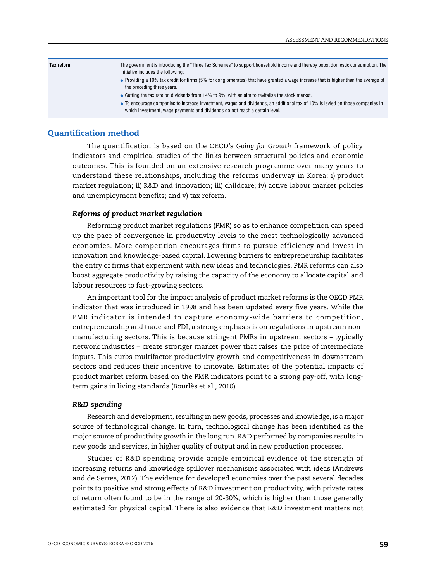| Tax reform | The government is introducing the "Three Tax Schemes" to support household income and thereby boost domestic consumption. The<br>initiative includes the following:                                           |
|------------|---------------------------------------------------------------------------------------------------------------------------------------------------------------------------------------------------------------|
|            | • Providing a 10% tax credit for firms (5% for conglomerates) that have granted a wage increase that is higher than the average of<br>the preceding three years.                                              |
|            | • Cutting the tax rate on dividends from 14% to 9%, with an aim to revitalise the stock market.                                                                                                               |
|            | • To encourage companies to increase investment, wages and dividends, an additional tax of 10% is levied on those companies in<br>which investment, wage payments and dividends do not reach a certain level. |

## **Quantification method**

The quantification is based on the OECD's *Going for Growth* framework of policy indicators and empirical studies of the links between structural policies and economic outcomes. This is founded on an extensive research programme over many years to understand these relationships, including the reforms underway in Korea: i) product market regulation; ii) R&D and innovation; iii) childcare; iv) active labour market policies and unemployment benefits; and v) tax reform.

## *Reforms of product market regulation*

Reforming product market regulations (PMR) so as to enhance competition can speed up the pace of convergence in productivity levels to the most technologically-advanced economies. More competition encourages firms to pursue efficiency and invest in innovation and knowledge-based capital. Lowering barriers to entrepreneurship facilitates the entry of firms that experiment with new ideas and technologies. PMR reforms can also boost aggregate productivity by raising the capacity of the economy to allocate capital and labour resources to fast-growing sectors.

An important tool for the impact analysis of product market reforms is the OECD PMR indicator that was introduced in 1998 and has been updated every five years. While the PMR indicator is intended to capture economy-wide barriers to competition, entrepreneurship and trade and FDI, a strong emphasis is on regulations in upstream nonmanufacturing sectors. This is because stringent PMRs in upstream sectors – typically network industries – create stronger market power that raises the price of intermediate inputs. This curbs multifactor productivity growth and competitiveness in downstream sectors and reduces their incentive to innovate. Estimates of the potential impacts of product market reform based on the PMR indicators point to a strong pay-off, with longterm gains in living standards (Bourlès et al., 2010).

#### *R&D spending*

Research and development, resulting in new goods, processes and knowledge, is a major source of technological change. In turn, technological change has been identified as the major source of productivity growth in the long run. R&D performed by companies results in new goods and services, in higher quality of output and in new production processes.

Studies of R&D spending provide ample empirical evidence of the strength of increasing returns and knowledge spillover mechanisms associated with ideas (Andrews and de Serres, 2012). The evidence for developed economies over the past several decades points to positive and strong effects of R&D investment on productivity, with private rates of return often found to be in the range of 20-30%, which is higher than those generally estimated for physical capital. There is also evidence that R&D investment matters not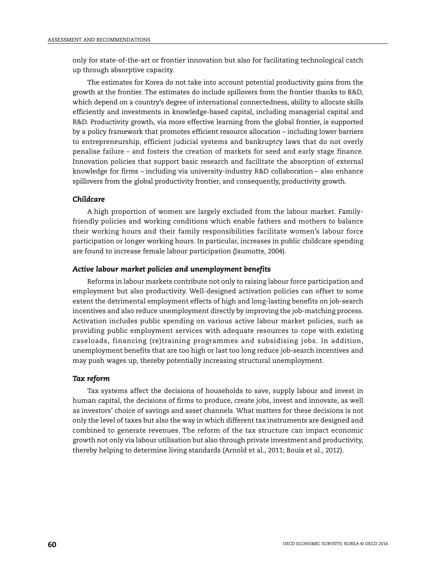only for state-of-the-art or frontier innovation but also for facilitating technological catch up through absorptive capacity.

The estimates for Korea do not take into account potential productivity gains from the growth at the frontier. The estimates do include spillovers from the frontier thanks to R&D, which depend on a country's degree of international connectedness, ability to allocate skills efficiently and investments in knowledge-based capital, including managerial capital and R&D. Productivity growth, via more effective learning from the global frontier, is supported by a policy framework that promotes efficient resource allocation – including lower barriers to entrepreneurship, efficient judicial systems and bankruptcy laws that do not overly penalise failure – and fosters the creation of markets for seed and early stage finance. Innovation policies that support basic research and facilitate the absorption of external knowledge for firms – including via university-industry R&D collaboration – also enhance spillovers from the global productivity frontier, and consequently, productivity growth.

## *Childcare*

A high proportion of women are largely excluded from the labour market. Familyfriendly policies and working conditions which enable fathers and mothers to balance their working hours and their family responsibilities facilitate women's labour force participation or longer working hours. In particular, increases in public childcare spending are found to increase female labour participation (Jaumotte, 2004).

## *Active labour market policies and unemployment benefits*

Reforms in labour markets contribute not only to raising labour force participation and employment but also productivity. Well-designed activation policies can offset to some extent the detrimental employment effects of high and long-lasting benefits on job-search incentives and also reduce unemployment directly by improving the job-matching process. Activation includes public spending on various active labour market policies, such as providing public employment services with adequate resources to cope with existing caseloads, financing (re)training programmes and subsidising jobs. In addition, unemployment benefits that are too high or last too long reduce job-search incentives and may push wages up, thereby potentially increasing structural unemployment.

#### *Tax reform*

Tax systems affect the decisions of households to save, supply labour and invest in human capital, the decisions of firms to produce, create jobs, invest and innovate, as well as investors' choice of savings and asset channels. What matters for these decisions is not only the level of taxes but also the way in which different tax instruments are designed and combined to generate revenues. The reform of the tax structure can impact economic growth not only via labour utilisation but also through private investment and productivity, thereby helping to determine living standards (Arnold et al., 2011; Bouis et al., 2012).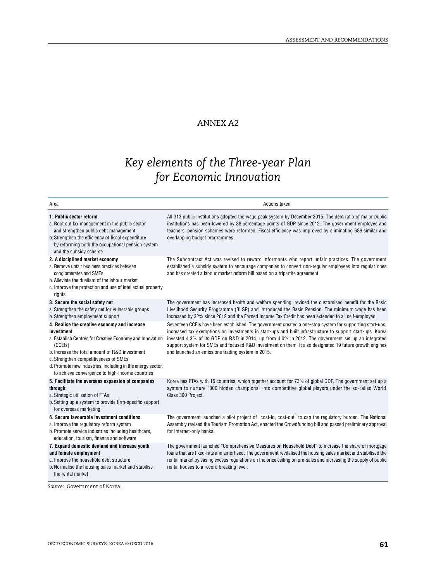## ANNEX A2

## *Key elements of the Three-year Plan for Economic Innovation*

| Area                                                                                                                                                                                                                                                                                                                                          | Actions taken                                                                                                                                                                                                                                                                                                                                                                                                                                                                                |
|-----------------------------------------------------------------------------------------------------------------------------------------------------------------------------------------------------------------------------------------------------------------------------------------------------------------------------------------------|----------------------------------------------------------------------------------------------------------------------------------------------------------------------------------------------------------------------------------------------------------------------------------------------------------------------------------------------------------------------------------------------------------------------------------------------------------------------------------------------|
| 1. Public sector reform<br>a. Root out lax management in the public sector<br>and strengthen public debt management<br>b. Strengthen the efficiency of fiscal expenditure<br>by reforming both the occupational pension system<br>and the subsidy scheme                                                                                      | All 313 public institutions adopted the wage peak system by December 2015. The debt ratio of major public<br>institutions has been lowered by 38 percentage points of GDP since 2012. The government employee and<br>teachers' pension schemes were reformed. Fiscal efficiency was improved by eliminating 689 similar and<br>overlapping budget programmes.                                                                                                                                |
| 2. A disciplined market economy<br>a. Remove unfair business practices between<br>conglomerates and SMEs<br>b. Alleviate the dualism of the labour market<br>c. Improve the protection and use of intellectual property<br>rights                                                                                                             | The Subcontract Act was revised to reward informants who report unfair practices. The government<br>established a subsidy system to encourage companies to convert non-regular employees into regular ones<br>and has created a labour market reform bill based on a tripartite agreement.                                                                                                                                                                                                   |
| 3. Secure the social safety net<br>a. Strengthen the safety net for vulnerable groups<br>b. Strengthen employment support                                                                                                                                                                                                                     | The government has increased health and welfare spending, revised the customised benefit for the Basic<br>Livelihood Security Programme (BLSP) and introduced the Basic Pension. The minimum wage has been<br>increased by 32% since 2012 and the Earned Income Tax Credit has been extended to all self-employed.                                                                                                                                                                           |
| 4. Realise the creative economy and increase<br>investment<br>a. Establish Centres for Creative Economy and Innovation<br>(CCEIs)<br>b. Increase the total amount of R&D investment<br>c. Strengthen competitiveness of SMEs<br>d. Promote new industries, including in the energy sector,<br>to achieve convergence to high-income countries | Seventeen CCEIs have been established. The government created a one-stop system for supporting start-ups,<br>increased tax exemptions on investments in start-ups and built infrastructure to support start-ups. Korea<br>invested 4.3% of its GDP on R&D in 2014, up from 4.0% in 2012. The government set up an integrated<br>support system for SMEs and focused R&D investment on them. It also designated 19 future growth engines<br>and launched an emissions trading system in 2015. |
| 5. Facilitate the overseas expansion of companies<br>through:<br>a. Strategic utilisation of FTAs<br>b. Setting up a system to provide firm-specific support<br>for overseas marketing                                                                                                                                                        | Korea has FTAs with 15 countries, which together account for 73% of global GDP. The government set up a<br>system to nurture "300 hidden champions" into competitive global players under the so-called World<br>Class 300 Project.                                                                                                                                                                                                                                                          |
| 6. Secure favourable investment conditions<br>a. Improve the regulatory reform system<br>b. Promote service industries including healthcare,<br>education, tourism, finance and software                                                                                                                                                      | The government launched a pilot project of "cost-in, cost-out" to cap the regulatory burden. The National<br>Assembly revised the Tourism Promotion Act, enacted the Crowdfunding bill and passed preliminary approval<br>for Internet-only banks.                                                                                                                                                                                                                                           |
| 7. Expand domestic demand and increase youth<br>and female employment<br>a. Improve the household debt structure<br>b. Normalise the housing sales market and stabilise<br>the rental market                                                                                                                                                  | The government launched "Comprehensive Measures on Household Debt" to increase the share of mortgage<br>loans that are fixed-rate and amortised. The government revitalised the housing sales market and stabilised the<br>rental market by easing excess regulations on the price ceiling on pre-sales and increasing the supply of public<br>rental houses to a record breaking level.                                                                                                     |

*Source:* Government of Korea.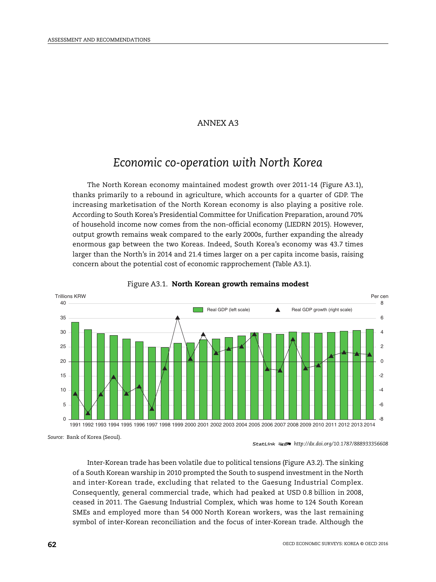## ANNEX A3

## *Economic co-operation with North Korea*

The North Korean economy maintained modest growth over 2011-14 (Figure A3.1), thanks primarily to a rebound in agriculture, which accounts for a quarter of GDP. The increasing marketisation of the North Korean economy is also playing a positive role. According to South Korea's Presidential Committee for Unification Preparation, around 70% of household income now comes from the non-official economy (LIEDRN 2015). However, output growth remains weak compared to the early 2000s, further expanding the already enormous gap between the two Koreas. Indeed, South Korea's economy was 43.7 times larger than the North's in 2014 and 21.4 times larger on a per capita income basis, raising concern about the potential cost of economic rapprochement (Table A3.1).





*Source:* Bank of Korea (Seoul).

Inter-Korean trade has been volatile due to political tensions (Figure A3.2). The sinking of a South Korean warship in 2010 prompted the South to suspend investment in the North and inter-Korean trade, excluding that related to the Gaesung Industrial Complex. Consequently, general commercial trade, which had peaked at USD 0.8 billion in 2008, ceased in 2011. The Gaesung Industrial Complex, which was home to 124 South Korean SMEs and employed more than 54 000 North Korean workers, was the last remaining symbol of inter-Korean reconciliation and the focus of inter-Korean trade. Although the

<sup>1 2</sup> *<http://dx.doi.org/10.1787/888933356608>*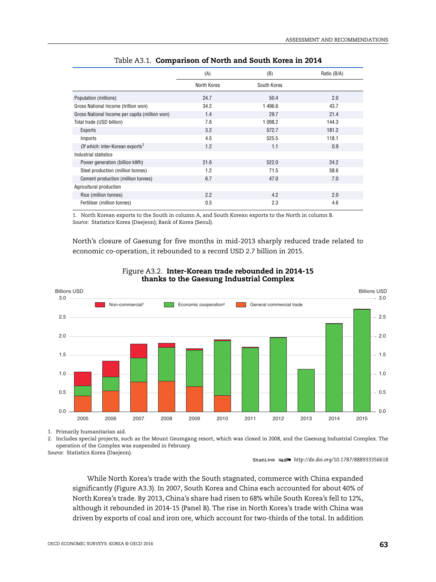|                                                | (A)         | (B)         | Ratio (B/A) |
|------------------------------------------------|-------------|-------------|-------------|
|                                                | North Korea | South Korea |             |
| Population (millions)                          | 24.7        | 50.4        | 2.0         |
| Gross National Income (trillion won)           | 34.2        | 1496.6      | 43.7        |
| Gross National Income per capita (million won) | 1.4         | 29.7        | 21.4        |
| Total trade (USD billion)                      | 7.6         | 1 0 9 8.2   | 144.3       |
| Exports                                        | 3.2         | 572.7       | 181.2       |
| Imports                                        | 4.5         | 525.5       | 118.1       |
| Of which: inter-Korean exports <sup>1</sup>    | 1.2         | 1.1         | 0.9         |
| Industrial statistics                          |             |             |             |
| Power generation (billion kWh)                 | 21.6        | 522.0       | 24.2        |
| Steel production (million tonnes)              | 1.2         | 71.5        | 58.6        |
| Cement production (million tonnes)             | 6.7         | 47.0        | 7.0         |
| Agricultural production                        |             |             |             |
| Rice (million tonnes)                          | 2.2         | 4.2         | 2.0         |
| Fertiliser (million tonnes)                    | 0.5         | 2.3         | 4.6         |
|                                                |             |             |             |

Table A3.1. **Comparison of North and South Korea in 2014**

1. North Korean exports to the South in column A, and South Korean exports to the North in column B. *Source:* Statistics Korea (Daejeon); Bank of Korea (Seoul).

North's closure of Gaesung for five months in mid-2013 sharply reduced trade related to economic co-operation, it rebounded to a record USD 2.7 billion in 2015.





1. Primarily humanitarian aid.

2. Includes special projects, such as the Mount Geumgang resort, which was closed in 2008, and the Gaesung Industrial Complex. The operation of the Complex was suspended in February.

*Source:* Statistics Korea (Daejeon).

1 2 *<http://dx.doi.org/10.1787/888933356618>*

While North Korea's trade with the South stagnated, commerce with China expanded significantly (Figure A3.3). In 2007, South Korea and China each accounted for about 40% of North Korea's trade. By 2013, China's share had risen to 68% while South Korea's fell to 12%, although it rebounded in 2014-15 (Panel B). The rise in North Korea's trade with China was driven by exports of coal and iron ore, which account for two-thirds of the total. In addition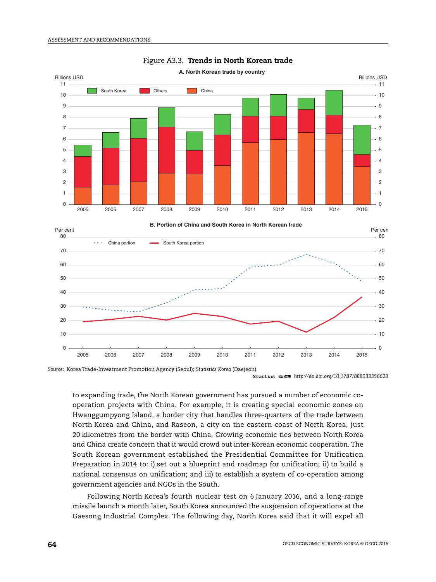





*Source:* Korea Trade-Investment Promotion Agency (Seoul); *Statistics Korea* (Daejeon).

1 2 *<http://dx.doi.org/10.1787/888933356623>*

to expanding trade, the North Korean government has pursued a number of economic cooperation projects with China. For example, it is creating special economic zones on Hwanggumpyong Island, a border city that handles three-quarters of the trade between North Korea and China, and Raseon, a city on the eastern coast of North Korea, just 20 kilometres from the border with China. Growing economic ties between North Korea and China create concern that it would crowd out inter-Korean economic cooperation. The South Korean government established the Presidential Committee for Unification Preparation in 2014 to: i) set out a blueprint and roadmap for unification; ii) to build a national consensus on unification; and iii) to establish a system of co-operation among government agencies and NGOs in the South.

Following North Korea's fourth nuclear test on 6 January 2016, and a long-range missile launch a month later, South Korea announced the suspension of operations at the Gaesong Industrial Complex. The following day, North Korea said that it will expel all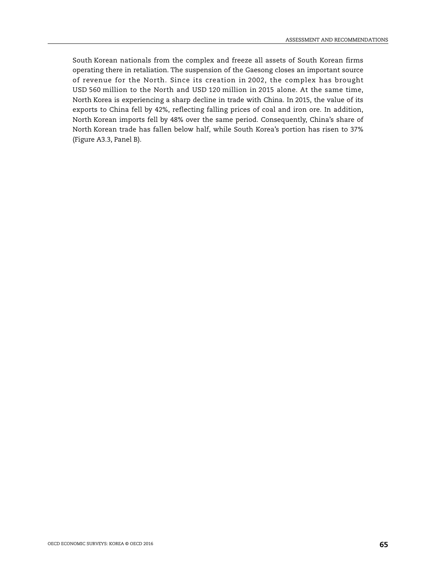South Korean nationals from the complex and freeze all assets of South Korean firms operating there in retaliation. The suspension of the Gaesong closes an important source of revenue for the North. Since its creation in 2002, the complex has brought USD 560 million to the North and USD 120 million in 2015 alone. At the same time, North Korea is experiencing a sharp decline in trade with China. In 2015, the value of its exports to China fell by 42%, reflecting falling prices of coal and iron ore. In addition, North Korean imports fell by 48% over the same period. Consequently, China's share of North Korean trade has fallen below half, while South Korea's portion has risen to 37% (Figure A3.3, Panel B).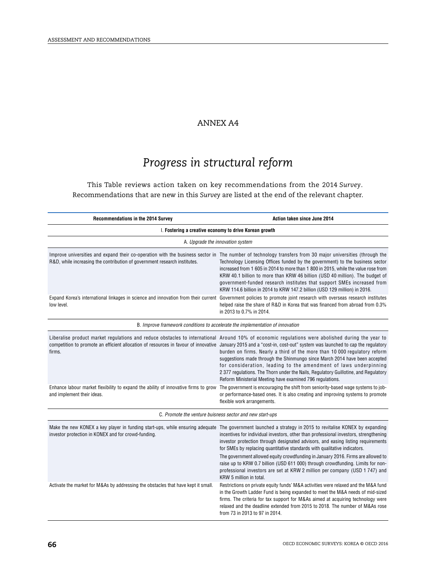## ANNEX A4

# *Progress in structural reform*

This Table reviews action taken on key recommendations from the 2014 *Survey*. Recommendations that are new in this *Survey* are listed at the end of the relevant chapter.

| Recommendations in the 2014 Survey                                                                                | <b>Action taken since June 2014</b>                                                                                                                                                                                                                                                                                                                                                                                                                                                                                                                                                                                                                                                                         |  |  |
|-------------------------------------------------------------------------------------------------------------------|-------------------------------------------------------------------------------------------------------------------------------------------------------------------------------------------------------------------------------------------------------------------------------------------------------------------------------------------------------------------------------------------------------------------------------------------------------------------------------------------------------------------------------------------------------------------------------------------------------------------------------------------------------------------------------------------------------------|--|--|
| I. Fostering a creative economy to drive Korean growth                                                            |                                                                                                                                                                                                                                                                                                                                                                                                                                                                                                                                                                                                                                                                                                             |  |  |
|                                                                                                                   | A. Upgrade the innovation system                                                                                                                                                                                                                                                                                                                                                                                                                                                                                                                                                                                                                                                                            |  |  |
| R&D, while increasing the contribution of government research institutes.                                         | Improve universities and expand their co-operation with the business sector in The number of technology transfers from 30 major universities (through the<br>Technology Licensing Offices funded by the government) to the business sector<br>increased from 1 605 in 2014 to more than 1 800 in 2015, while the value rose from<br>KRW 40.1 billion to more than KRW 46 billion (USD 40 million). The budget of<br>government-funded research institutes that support SMEs increased from<br>KRW 114.6 billion in 2014 to KRW 147.2 billion (USD 129 million) in 2016.                                                                                                                                     |  |  |
| low level.                                                                                                        | Expand Korea's international linkages in science and innovation from their current Government policies to promote joint research with overseas research institutes<br>helped raise the share of R&D in Korea that was financed from abroad from 0.3%<br>in 2013 to 0.7% in 2014.                                                                                                                                                                                                                                                                                                                                                                                                                            |  |  |
|                                                                                                                   | B. Improve framework conditions to accelerate the implementation of innovation                                                                                                                                                                                                                                                                                                                                                                                                                                                                                                                                                                                                                              |  |  |
| firms.                                                                                                            | Liberalise product market regulations and reduce obstacles to international Around 10% of economic regulations were abolished during the year to<br>competition to promote an efficient allocation of resources in favour of innovative January 2015 and a "cost-in, cost-out" system was launched to cap the regulatory<br>burden on firms. Nearly a third of the more than 10 000 regulatory reform<br>suggestions made through the Shinmungo since March 2014 have been accepted<br>for consideration, leading to the amendment of laws underpinning<br>2 377 regulations. The Thorn under the Nails, Regulatory Guillotine, and Regulatory<br>Reform Ministerial Meeting have examined 796 regulations. |  |  |
| Enhance labour market flexibility to expand the ability of innovative firms to grow<br>and implement their ideas. | The government is encouraging the shift from seniority-based wage systems to job-<br>or performance-based ones. It is also creating and improving systems to promote<br>flexible work arrangements.                                                                                                                                                                                                                                                                                                                                                                                                                                                                                                         |  |  |
| C. Promote the venture buisness sector and new start-ups                                                          |                                                                                                                                                                                                                                                                                                                                                                                                                                                                                                                                                                                                                                                                                                             |  |  |
| investor protection in KONEX and for crowd-funding.                                                               | Make the new KONEX a key player in funding start-ups, while ensuring adequate The government launched a strategy in 2015 to revitalise KONEX by expanding<br>incentives for individual investors, other than professional investors, strengthening<br>investor protection through designated advisors, and easing listing requirements<br>for SMEs by replacing quantitative standards with qualitative indicators.<br>The government allowed equity crowdfunding in January 2016. Firms are allowed to<br>raise up to KRW 0.7 billion (USD 611 000) through crowdfunding. Limits for non-<br>professional investors are set at KRW 2 million per company (USD 1 747) and                                   |  |  |
| Activate the market for M&As by addressing the obstacles that have kept it small.                                 | KRW 5 million in total.<br>Restrictions on private equity funds' M&A activities were relaxed and the M&A fund<br>in the Growth Ladder Fund is being expanded to meet the M&A needs of mid-sized<br>firms. The criteria for tax support for M&As aimed at acquiring technology were<br>relaxed and the deadline extended from 2015 to 2018. The number of M&As rose<br>from 73 in 2013 to 97 in 2014.                                                                                                                                                                                                                                                                                                        |  |  |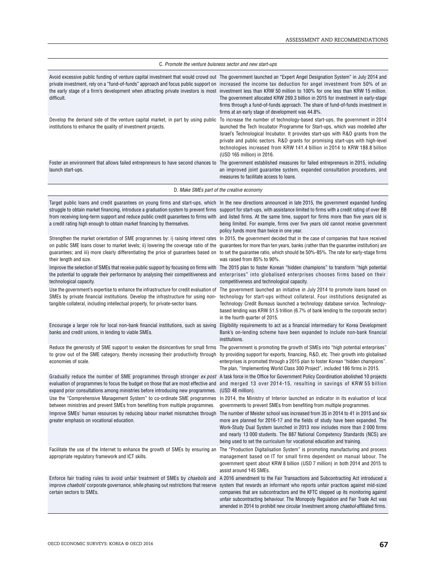| C. Promote the venture buisness sector and new start-ups                                                                                                                                                       |                                                                                                                                                                                                                                                                                                                                                                                                                                                                                                                                                                                                                                                                                                                                   |  |  |
|----------------------------------------------------------------------------------------------------------------------------------------------------------------------------------------------------------------|-----------------------------------------------------------------------------------------------------------------------------------------------------------------------------------------------------------------------------------------------------------------------------------------------------------------------------------------------------------------------------------------------------------------------------------------------------------------------------------------------------------------------------------------------------------------------------------------------------------------------------------------------------------------------------------------------------------------------------------|--|--|
| difficult.                                                                                                                                                                                                     | Avoid excessive public funding of venture capital investment that would crowd out The government launched an "Expert Angel Designation System" in July 2014 and<br>private investment, rely on a "fund-of-funds" approach and focus public support on $\,$ increased the income tax deduction for angel investment from 50% of an<br>the early stage of a firm's development when attracting private investors is most investment less than KRW 50 million to 100% for one less than KRW 15 million.<br>The government allocated KRW 269.3 billion in 2015 for investment in early-stage<br>firms through a fund-of-funds approach. The share of fund-of-funds investment in<br>firms at an early stage of development was 44.8%. |  |  |
| institutions to enhance the quality of investment projects.                                                                                                                                                    | Develop the demand side of the venture capital market, in part by using public To increase the number of technology-based start-ups, the government in 2014<br>launched the Tech Incubator Programme for Start-ups, which was modelled after<br>Israel's Technological Incubator. It provides start-ups with R&D grants from the<br>private and public sectors. R&D grants for promising start-ups with high-level<br>technologies increased from KRW 141.4 billion in 2014 to KRW 188.8 billion<br>(USD 165 million) in 2016.                                                                                                                                                                                                    |  |  |
| launch start-ups.                                                                                                                                                                                              | Foster an environment that allows failed entrepreneurs to have second chances to The government established measures for failed entrepreneurs in 2015, including<br>an improved joint guarantee system, expanded consultation procedures, and<br>measures to facilitate access to loans.                                                                                                                                                                                                                                                                                                                                                                                                                                          |  |  |
|                                                                                                                                                                                                                | D. Make SMEs part of the creative economy                                                                                                                                                                                                                                                                                                                                                                                                                                                                                                                                                                                                                                                                                         |  |  |
| a credit rating high enough to obtain market financing by themselves.                                                                                                                                          | Target public loans and credit guarantees on young firms and start-ups, which In the new directions announced in late 2015, the government expanded funding<br>struggle to obtain market financing, introduce a graduation system to prevent firms support for start-ups, with assistance limited to firms with a credit rating of over BB<br>from receiving long-term support and reduce public credit guarantees to firms with and listed firms. At the same time, support for firms more than five years old is<br>being limited. For example, firms over five years old cannot receive government<br>policy funds more than twice in one year.                                                                                |  |  |
| their length and size.                                                                                                                                                                                         | Strengthen the market orientation of SME programmes by: i) raising interest rates In 2015, the government decided that in the case of companies that have received<br>on public SME loans closer to market levels; ii) lowering the coverage ratio of the guarantees for more than ten years, banks (rather than the guarantee institution) are<br>guarantees; and iii) more clearly differentiating the price of guarantees based on to set the guarantee ratio, which should be 50%-85%. The rate for early-stage firms<br>was raised from 85% to 90%.                                                                                                                                                                          |  |  |
| technological capacity.                                                                                                                                                                                        | Improve the selection of SMEs that receive public support by focusing on firms with The 2015 plan to foster Korean "hidden champions" to transform "high potential<br>the potential to upgrade their performance by analysing their competitiveness and enterprises" into globalised enterprises chooses firms based on their<br>competitiveness and technological capacity.                                                                                                                                                                                                                                                                                                                                                      |  |  |
| tangible collateral, including intellectual property, for private-sector loans.                                                                                                                                | Use the government's expertise to enhance the infrastructure for credit evaluation of The government launched an initiative in July 2014 to promote loans based on<br>SMEs by private financial institutions. Develop the infrastructure for using non- technology for start-ups without collateral. Four institutions designated as<br>Technology Credit Bureaus launched a technology database service. Technology-<br>based lending was KRW 51.5 trillion (6.7% of bank lending to the corporate sector)<br>in the fourth quarter of 2015.                                                                                                                                                                                     |  |  |
| Encourage a larger role for local non-bank financial institutions, such as saving<br>banks and credit unions, in lending to viable SMEs.                                                                       | Eligibility requirements to act as a financial intermediary for Korea Development<br>Bank's on-lending scheme have been expanded to include non-bank financial<br>institutions.                                                                                                                                                                                                                                                                                                                                                                                                                                                                                                                                                   |  |  |
| Reduce the generosity of SME support to weaken the disincentives for small firms<br>to grow out of the SME category, thereby increasing their productivity through<br>economies of scale.                      | The government is promoting the growth of SMEs into "high potential enterprises"<br>by providing support for exports, financing, R&D, etc. Their growth into globalised<br>enterprises is promoted through a 2015 plan to foster Korean "hidden champions".<br>The plan, "Implementing World Class 300 Project", included 186 firms in 2015.                                                                                                                                                                                                                                                                                                                                                                                      |  |  |
| expand prior consultations among ministries before introducing new programmes. (USD 48 million).                                                                                                               | Gradually reduce the number of SME programmes through stronger ex post A task force in the Office for Government Policy Coordination abolished 10 projects<br>evaluation of programmes to focus the budget on those that are most effective and and merged 13 over 2014-15, resulting in savings of KRW 55 billion                                                                                                                                                                                                                                                                                                                                                                                                                |  |  |
| between ministries and prevent SMEs from benefiting from multiple programmes.                                                                                                                                  | Use the "Comprehensive Management System" to co-ordinate SME programmes In 2014, the Ministry of Interior launched an indicator in its evaluation of local<br>governments to prevent SMEs from benefiting from multiple programmes.                                                                                                                                                                                                                                                                                                                                                                                                                                                                                               |  |  |
| greater emphasis on vocational education.                                                                                                                                                                      | Improve SMEs' human resources by reducing labour market mismatches through The number of Meister school was increased from 35 in 2014 to 41 in 2015 and six<br>more are planned for 2016-17 and the fields of study have been expanded. The<br>Work-Study Dual System launched in 2013 now includes more than 2000 firms<br>and nearly 13 000 students. The 887 National Competency Standards (NCS) are<br>being used to set the curriculum for vocational education and training.                                                                                                                                                                                                                                                |  |  |
| Facilitate the use of the Internet to enhance the growth of SMEs by ensuring an<br>appropriate regulatory framework and ICT skills.                                                                            | The "Production Digitalisation System" is promoting manufacturing and process<br>management based on IT for small firms dependent on manual labour. The<br>government spent about KRW 8 billion (USD 7 million) in both 2014 and 2015 to<br>assist around 145 SMEs.                                                                                                                                                                                                                                                                                                                                                                                                                                                               |  |  |
| Enforce fair trading rules to avoid unfair treatment of SMEs by <i>chaebols</i> and<br>improve <i>chaebols</i> ' corporate governance, while phasing out restrictions that reserve<br>certain sectors to SMEs. | A 2016 amendment to the Fair Transactions and Subcontracting Act introduced a<br>system that rewards an informant who reports unfair practices against mid-sized<br>companies that are subcontractors and the KFTC stepped up its monitoring against<br>unfair subcontracting behaviour. The Monopoly Regulation and Fair Trade Act was                                                                                                                                                                                                                                                                                                                                                                                           |  |  |

amended in 2014 to prohibit new circular Investment among *chaebol*-affiliated firms.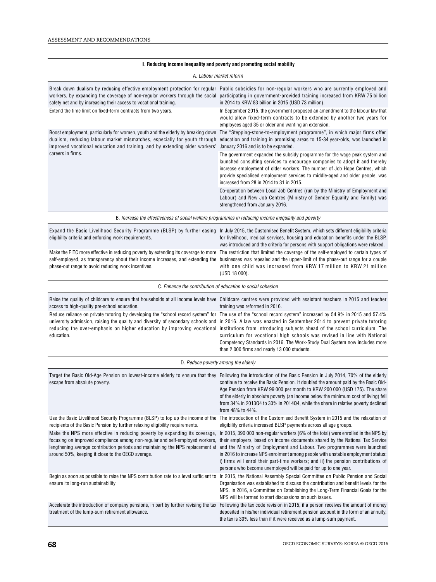#### II. **Reducing income inequality and poverty and promoting social mobility**

## A. *Labour market reform*

| A. Labour market reform                                                       |                                                                                                                                                                                                                                                                                                                                                                                                                                                                                                                                                                                                                                                                                                                                  |
|-------------------------------------------------------------------------------|----------------------------------------------------------------------------------------------------------------------------------------------------------------------------------------------------------------------------------------------------------------------------------------------------------------------------------------------------------------------------------------------------------------------------------------------------------------------------------------------------------------------------------------------------------------------------------------------------------------------------------------------------------------------------------------------------------------------------------|
| safety net and by increasing their access to vocational training.             | Break down dualism by reducing effective employment protection for regular Public subsidies for non-regular workers who are currently employed and<br>workers, by expanding the coverage of non-regular workers through the social participating in government-provided training increased from KRW 75 billion<br>in 2014 to KRW 83 billion in 2015 (USD 73 million).                                                                                                                                                                                                                                                                                                                                                            |
| Extend the time limit on fixed-term contracts from two years.                 | In September 2015, the government proposed an amendment to the labour law that<br>would allow fixed-term contracts to be extended by another two years for<br>employees aged 35 or older and wanting an extension.                                                                                                                                                                                                                                                                                                                                                                                                                                                                                                               |
| improved vocational education and training, and by extending older workers'   | Boost employment, particularly for women, youth and the elderly by breaking down The "Stepping-stone-to-employment programme", in which major firms offer<br>dualism, reducing labour market mismatches, especially for youth through  education and training in promising areas to 15-34 year-olds, was launched in<br>January 2016 and is to be expanded.                                                                                                                                                                                                                                                                                                                                                                      |
| careers in firms.                                                             | The government expanded the subsidy programme for the wage peak system and<br>launched consulting services to encourage companies to adopt it and thereby<br>increase employment of older workers. The number of Job Hope Centres, which<br>provide specialised employment services to middle-aged and older people, was<br>increased from 28 in 2014 to 31 in 2015.                                                                                                                                                                                                                                                                                                                                                             |
|                                                                               | Co-operation between Local Job Centres (run by the Ministry of Employment and<br>Labour) and New Job Centres (Ministry of Gender Equality and Family) was<br>strengthened from January 2016.                                                                                                                                                                                                                                                                                                                                                                                                                                                                                                                                     |
|                                                                               | B. Increase the effectiveness of social welfare programmes in reducing income inequlaity and poverty                                                                                                                                                                                                                                                                                                                                                                                                                                                                                                                                                                                                                             |
| eligibility criteria and enforcing work requirements.                         | Expand the Basic Livelihood Security Programme (BLSP) by further easing InJuly 2015, the Customised Benefit System, which sets different eligibility criteria<br>for livelihood, medical services, housing and education benefits under the BLSP,<br>was introduced and the criteria for persons with support obligations were relaxed.                                                                                                                                                                                                                                                                                                                                                                                          |
| phase-out range to avoid reducing work incentives.                            | Make the EITC more effective in reducing poverty by extending its coverage to more The restriction that limited the coverage of the self-employed to certain types of<br>self-employed, as transparency about their income increases, and extending the businesses was repealed and the upper-limit of the phase-out range for a couple<br>with one child was increased from KRW 17 million to KRW 21 million<br>(USD 18 000).                                                                                                                                                                                                                                                                                                   |
|                                                                               | C. Enhance the contribution of education to social cohesion                                                                                                                                                                                                                                                                                                                                                                                                                                                                                                                                                                                                                                                                      |
| access to high-quality pre-school education.                                  | Raise the quality of childcare to ensure that households at all income levels have  Childcare centres were provided with assistant teachers in 2015 and teacher<br>training was reformed in 2016.                                                                                                                                                                                                                                                                                                                                                                                                                                                                                                                                |
| education.                                                                    | 15,74% Reduce reliance on private tutoring by developing the "school record system" for The use of the "school record system" increased by 54.9% in 2015 and 57.4<br>university admission, raising the quality and diversity of secondary schools and  in 2016. A law was enacted in September 2014 to prevent private tutoring<br>reducing the over-emphasis on higher education by improving vocational institutions from introducing subjects ahead of the school curriculum. The<br>curriculum for vocational high schools was revised in line with National<br>Competency Standards in 2016. The Work-Study Dual System now includes more<br>than 2 000 firms and nearly 13 000 students.                                   |
|                                                                               | D. Reduce poverty among the elderly                                                                                                                                                                                                                                                                                                                                                                                                                                                                                                                                                                                                                                                                                              |
| escape from absolute poverty.                                                 | Target the Basic Old-Age Pension on lowest-income elderly to ensure that they Following the introduction of the Basic Pension in July 2014, 70% of the elderly<br>continue to receive the Basic Pension. It doubled the amount paid by the Basic Old-<br>Age Pension from KRW 99 000 per month to KRW 200 000 (USD 175). The share<br>of the elderly in absolute poverty (an income below the minimum cost of living) fell<br>from 34% in 2013Q4 to 30% in 2014Q4, while the share in relative poverty declined<br>from 48% to 44%.                                                                                                                                                                                              |
| recipients of the Basic Pension by further relaxing eligibility requirements. | Use the Basic Livelihood Security Programme (BLSP) to top up the income of the The introduction of the Customised Benefit System in 2015 and the relaxation of<br>eligibility criteria increased BLSP payments across all age groups.                                                                                                                                                                                                                                                                                                                                                                                                                                                                                            |
| around 50%, keeping it close to the OECD average.                             | Make the NPS more effective in reducing poverty by expanding its coverage, In 2015, 390 000 non-regular workers (6% of the total) were enrolled in the NPS by<br>focusing on improved compliance among non-regular and self-employed workers, their employers, based on income documents shared by the National Tax Service<br>lengthening average contribution periods and maintaining the NPS replacement at and the Ministry of Employment and Labour. Two programmes were launched<br>in 2016 to increase NPS enrolment among people with unstable employment status:<br>i) firms will enrol their part-time workers; and ii) the pension contributions of<br>persons who become unemployed will be paid for up to one year. |
| ensure its long-run sustainability                                            | Begin as soon as possible to raise the NPS contribution rate to a level sufficient to  In 2015, the National Assembly Special Committee on Public Pension and Social<br>Organisation was established to discuss the contribution and benefit levels for the<br>NPS. In 2016, a Committee on Establishing the Long-Term Financial Goals for the<br>NPS will be formed to start discussions on such issues.                                                                                                                                                                                                                                                                                                                        |

Accelerate the introduction of company pensions, in part by further revising the tax Following the tax code revision in 2015, if a person receives the amount of money treatment of the lump-sum retirement allowance. deposited in his/her individual retirement pension account in the form of an annuity, the tax is 30% less than if it were received as a lump-sum payment.